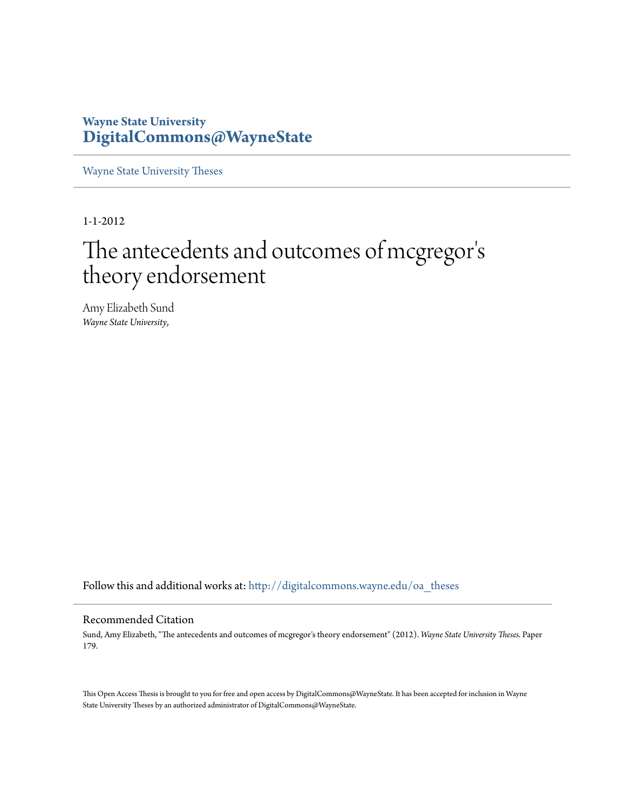# **Wayne State University [DigitalCommons@WayneState](http://digitalcommons.wayne.edu?utm_source=digitalcommons.wayne.edu%2Foa_theses%2F179&utm_medium=PDF&utm_campaign=PDFCoverPages)**

[Wayne State University Theses](http://digitalcommons.wayne.edu/oa_theses?utm_source=digitalcommons.wayne.edu%2Foa_theses%2F179&utm_medium=PDF&utm_campaign=PDFCoverPages)

1-1-2012

# The antecedents and outcomes of mcgregor ' $\mathsf{s}'$ theory endorsement

Amy Elizabeth Sund *Wayne State University*,

Follow this and additional works at: [http://digitalcommons.wayne.edu/oa\\_theses](http://digitalcommons.wayne.edu/oa_theses?utm_source=digitalcommons.wayne.edu%2Foa_theses%2F179&utm_medium=PDF&utm_campaign=PDFCoverPages)

#### Recommended Citation

Sund, Amy Elizabeth, "The antecedents and outcomes of mcgregor's theory endorsement" (2012). *Wayne State University Theses.* Paper 179.

This Open Access Thesis is brought to you for free and open access by DigitalCommons@WayneState. It has been accepted for inclusion in Wayne State University Theses by an authorized administrator of DigitalCommons@WayneState.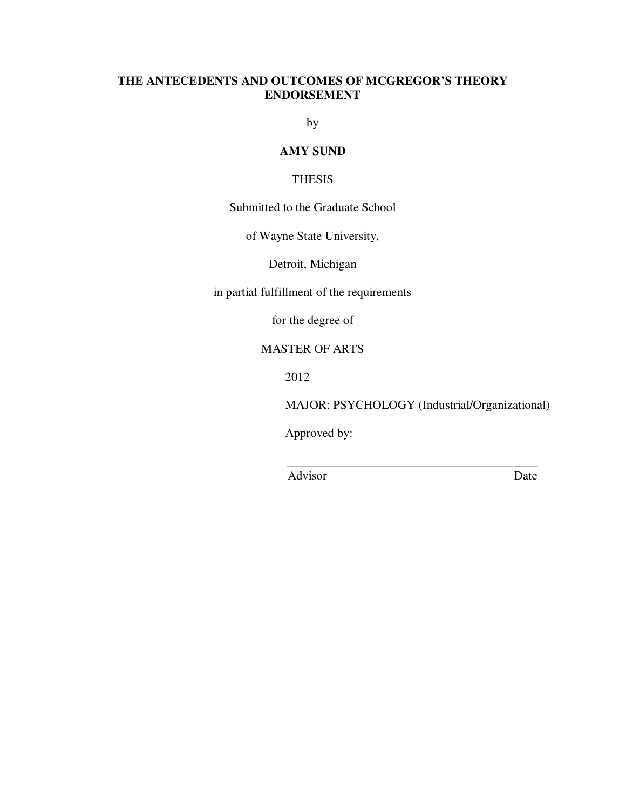## **THE ANTECEDENTS AND OUTCOMES OF MCGREGOR'S THEORY ENDORSEMENT**

by

## **AMY SUND**

## THESIS

Submitted to the Graduate School

of Wayne State University,

Detroit, Michigan

in partial fulfillment of the requirements

for the degree of

## MASTER OF ARTS

2012

MAJOR: PSYCHOLOGY (Industrial/Organizational)

 $\frac{1}{\sqrt{2}}$  ,  $\frac{1}{\sqrt{2}}$  ,  $\frac{1}{\sqrt{2}}$  ,  $\frac{1}{\sqrt{2}}$  ,  $\frac{1}{\sqrt{2}}$  ,  $\frac{1}{\sqrt{2}}$  ,  $\frac{1}{\sqrt{2}}$  ,  $\frac{1}{\sqrt{2}}$  ,  $\frac{1}{\sqrt{2}}$  ,  $\frac{1}{\sqrt{2}}$  ,  $\frac{1}{\sqrt{2}}$  ,  $\frac{1}{\sqrt{2}}$  ,  $\frac{1}{\sqrt{2}}$  ,  $\frac{1}{\sqrt{2}}$  ,  $\frac{1}{\sqrt{2}}$ 

Approved by:

Advisor Date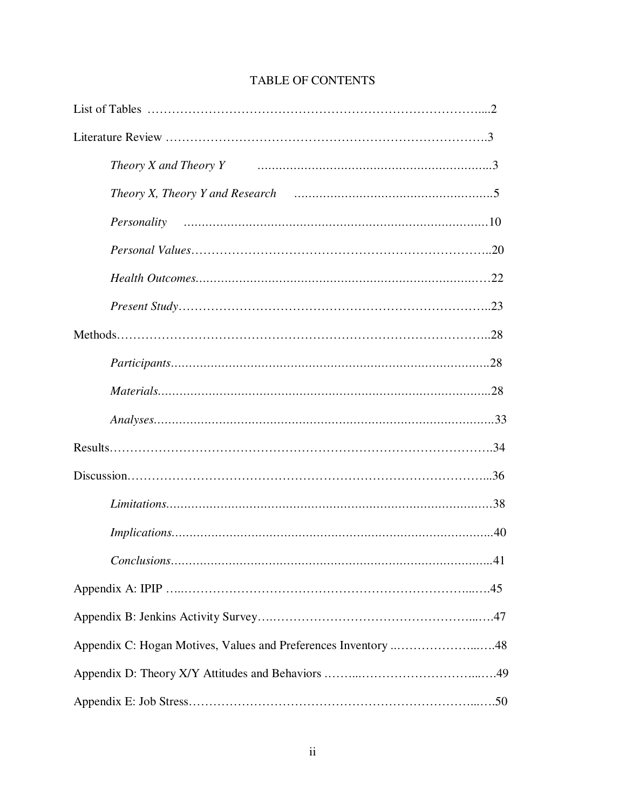| <i>Theory X and Theory Y</i> 2008, 2008, 2008, 2008, 2008, 2008, 2008, 2008, 2008, 2008, 2008, 2008, 2008, 2008, 2008, 2008, 2008, 2008, 2008, 2008, 2008, 2008, 2008, 2008, 2008, 2008, 2008, 2008, 2008, 2008, 2008, 2008, 2008, |
|------------------------------------------------------------------------------------------------------------------------------------------------------------------------------------------------------------------------------------|
|                                                                                                                                                                                                                                    |
| Personality                                                                                                                                                                                                                        |
|                                                                                                                                                                                                                                    |
|                                                                                                                                                                                                                                    |
|                                                                                                                                                                                                                                    |
|                                                                                                                                                                                                                                    |
|                                                                                                                                                                                                                                    |
|                                                                                                                                                                                                                                    |
|                                                                                                                                                                                                                                    |
|                                                                                                                                                                                                                                    |
|                                                                                                                                                                                                                                    |
|                                                                                                                                                                                                                                    |
|                                                                                                                                                                                                                                    |
|                                                                                                                                                                                                                                    |
|                                                                                                                                                                                                                                    |
|                                                                                                                                                                                                                                    |
| Appendix C: Hogan Motives, Values and Preferences Inventory 48                                                                                                                                                                     |
|                                                                                                                                                                                                                                    |
|                                                                                                                                                                                                                                    |

## TABLE OF CONTENTS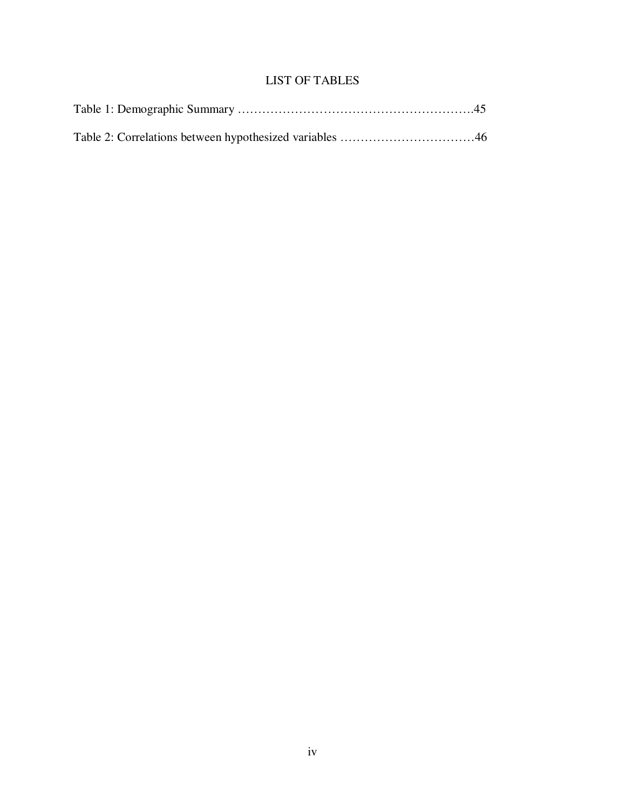## LIST OF TABLES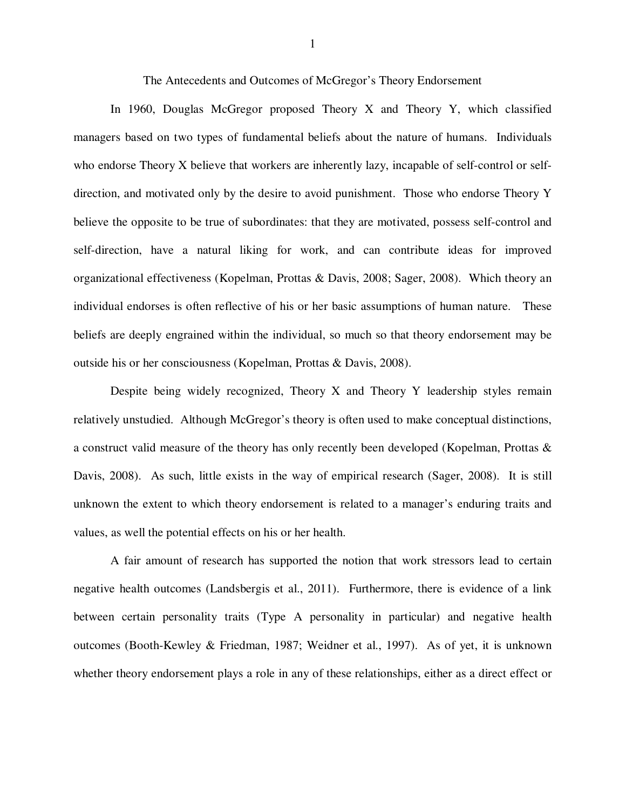The Antecedents and Outcomes of McGregor's Theory Endorsement

In 1960, Douglas McGregor proposed Theory X and Theory Y, which classified managers based on two types of fundamental beliefs about the nature of humans. Individuals who endorse Theory X believe that workers are inherently lazy, incapable of self-control or selfdirection, and motivated only by the desire to avoid punishment. Those who endorse Theory Y believe the opposite to be true of subordinates: that they are motivated, possess self-control and self-direction, have a natural liking for work, and can contribute ideas for improved organizational effectiveness (Kopelman, Prottas & Davis, 2008; Sager, 2008). Which theory an individual endorses is often reflective of his or her basic assumptions of human nature. These beliefs are deeply engrained within the individual, so much so that theory endorsement may be outside his or her consciousness (Kopelman, Prottas & Davis, 2008).

Despite being widely recognized, Theory X and Theory Y leadership styles remain relatively unstudied. Although McGregor's theory is often used to make conceptual distinctions, a construct valid measure of the theory has only recently been developed (Kopelman, Prottas & Davis, 2008). As such, little exists in the way of empirical research (Sager, 2008). It is still unknown the extent to which theory endorsement is related to a manager's enduring traits and values, as well the potential effects on his or her health.

A fair amount of research has supported the notion that work stressors lead to certain negative health outcomes (Landsbergis et al., 2011). Furthermore, there is evidence of a link between certain personality traits (Type A personality in particular) and negative health outcomes (Booth-Kewley & Friedman, 1987; Weidner et al., 1997). As of yet, it is unknown whether theory endorsement plays a role in any of these relationships, either as a direct effect or

1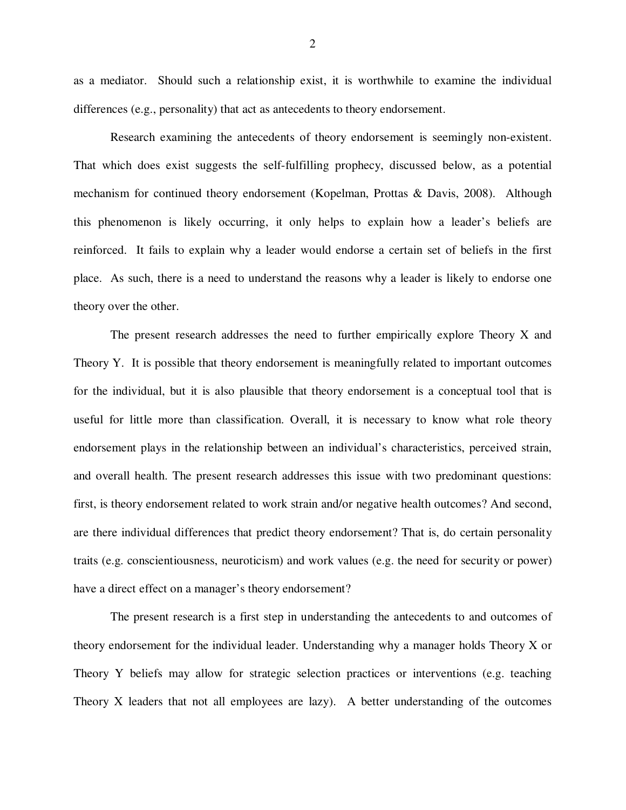as a mediator. Should such a relationship exist, it is worthwhile to examine the individual differences (e.g., personality) that act as antecedents to theory endorsement.

Research examining the antecedents of theory endorsement is seemingly non-existent. That which does exist suggests the self-fulfilling prophecy, discussed below, as a potential mechanism for continued theory endorsement (Kopelman, Prottas & Davis, 2008). Although this phenomenon is likely occurring, it only helps to explain how a leader's beliefs are reinforced. It fails to explain why a leader would endorse a certain set of beliefs in the first place. As such, there is a need to understand the reasons why a leader is likely to endorse one theory over the other.

The present research addresses the need to further empirically explore Theory X and Theory Y. It is possible that theory endorsement is meaningfully related to important outcomes for the individual, but it is also plausible that theory endorsement is a conceptual tool that is useful for little more than classification. Overall, it is necessary to know what role theory endorsement plays in the relationship between an individual's characteristics, perceived strain, and overall health. The present research addresses this issue with two predominant questions: first, is theory endorsement related to work strain and/or negative health outcomes? And second, are there individual differences that predict theory endorsement? That is, do certain personality traits (e.g. conscientiousness, neuroticism) and work values (e.g. the need for security or power) have a direct effect on a manager's theory endorsement?

The present research is a first step in understanding the antecedents to and outcomes of theory endorsement for the individual leader. Understanding why a manager holds Theory X or Theory Y beliefs may allow for strategic selection practices or interventions (e.g. teaching Theory X leaders that not all employees are lazy). A better understanding of the outcomes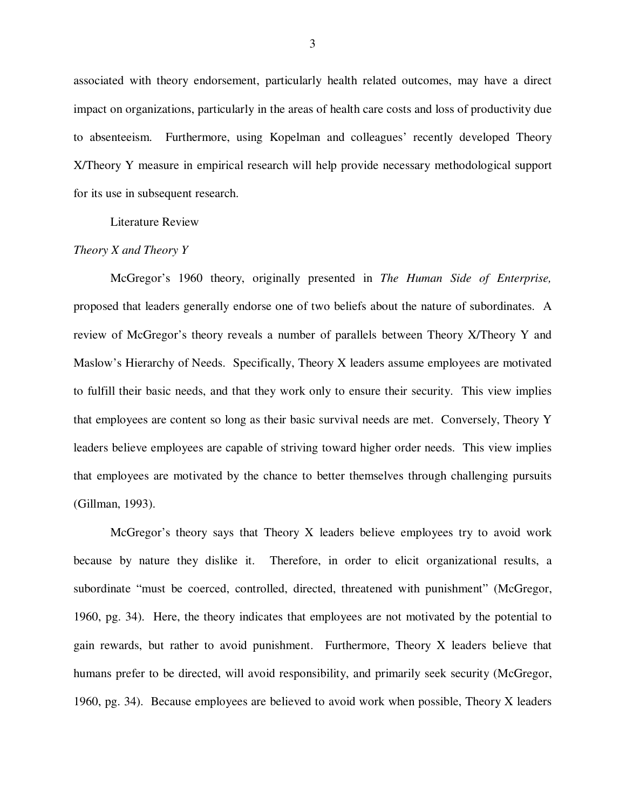associated with theory endorsement, particularly health related outcomes, may have a direct impact on organizations, particularly in the areas of health care costs and loss of productivity due to absenteeism. Furthermore, using Kopelman and colleagues' recently developed Theory X/Theory Y measure in empirical research will help provide necessary methodological support for its use in subsequent research.

Literature Review

#### *Theory X and Theory Y*

 McGregor's 1960 theory, originally presented in *The Human Side of Enterprise,* proposed that leaders generally endorse one of two beliefs about the nature of subordinates. A review of McGregor's theory reveals a number of parallels between Theory X/Theory Y and Maslow's Hierarchy of Needs. Specifically, Theory X leaders assume employees are motivated to fulfill their basic needs, and that they work only to ensure their security. This view implies that employees are content so long as their basic survival needs are met. Conversely, Theory Y leaders believe employees are capable of striving toward higher order needs. This view implies that employees are motivated by the chance to better themselves through challenging pursuits (Gillman, 1993).

 McGregor's theory says that Theory X leaders believe employees try to avoid work because by nature they dislike it. Therefore, in order to elicit organizational results, a subordinate "must be coerced, controlled, directed, threatened with punishment" (McGregor, 1960, pg. 34). Here, the theory indicates that employees are not motivated by the potential to gain rewards, but rather to avoid punishment. Furthermore, Theory X leaders believe that humans prefer to be directed, will avoid responsibility, and primarily seek security (McGregor, 1960, pg. 34). Because employees are believed to avoid work when possible, Theory X leaders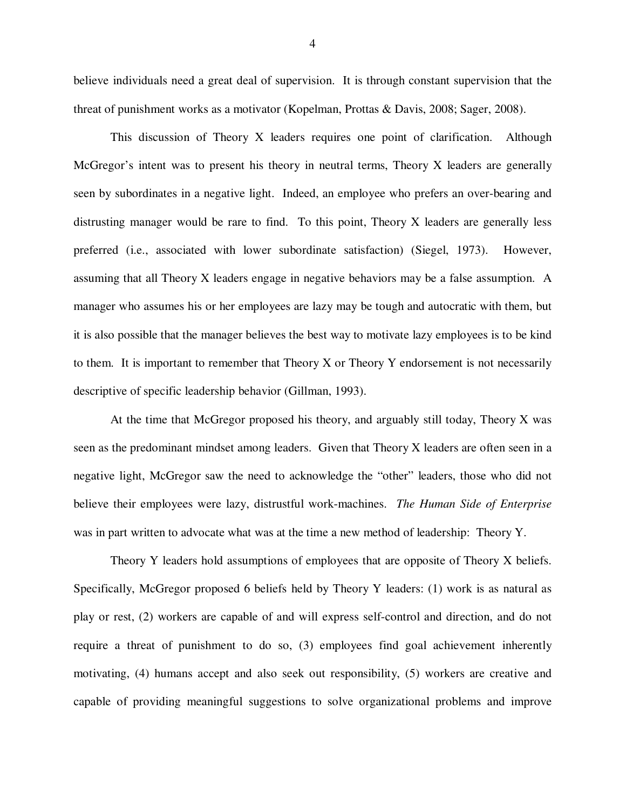believe individuals need a great deal of supervision. It is through constant supervision that the threat of punishment works as a motivator (Kopelman, Prottas & Davis, 2008; Sager, 2008).

This discussion of Theory X leaders requires one point of clarification. Although McGregor's intent was to present his theory in neutral terms, Theory X leaders are generally seen by subordinates in a negative light. Indeed, an employee who prefers an over-bearing and distrusting manager would be rare to find. To this point, Theory X leaders are generally less preferred (i.e., associated with lower subordinate satisfaction) (Siegel, 1973). However, assuming that all Theory X leaders engage in negative behaviors may be a false assumption. A manager who assumes his or her employees are lazy may be tough and autocratic with them, but it is also possible that the manager believes the best way to motivate lazy employees is to be kind to them. It is important to remember that Theory X or Theory Y endorsement is not necessarily descriptive of specific leadership behavior (Gillman, 1993).

At the time that McGregor proposed his theory, and arguably still today, Theory X was seen as the predominant mindset among leaders. Given that Theory X leaders are often seen in a negative light, McGregor saw the need to acknowledge the "other" leaders, those who did not believe their employees were lazy, distrustful work-machines. *The Human Side of Enterprise* was in part written to advocate what was at the time a new method of leadership: Theory Y.

 Theory Y leaders hold assumptions of employees that are opposite of Theory X beliefs. Specifically, McGregor proposed 6 beliefs held by Theory Y leaders: (1) work is as natural as play or rest, (2) workers are capable of and will express self-control and direction, and do not require a threat of punishment to do so, (3) employees find goal achievement inherently motivating, (4) humans accept and also seek out responsibility, (5) workers are creative and capable of providing meaningful suggestions to solve organizational problems and improve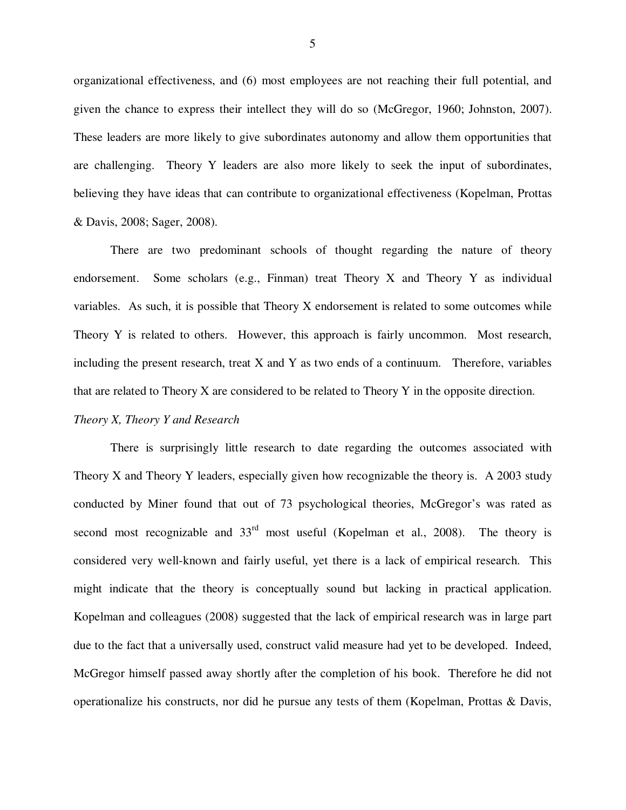organizational effectiveness, and (6) most employees are not reaching their full potential, and given the chance to express their intellect they will do so (McGregor, 1960; Johnston, 2007). These leaders are more likely to give subordinates autonomy and allow them opportunities that are challenging. Theory Y leaders are also more likely to seek the input of subordinates, believing they have ideas that can contribute to organizational effectiveness (Kopelman, Prottas & Davis, 2008; Sager, 2008).

 There are two predominant schools of thought regarding the nature of theory endorsement. Some scholars (e.g., Finman) treat Theory X and Theory Y as individual variables. As such, it is possible that Theory X endorsement is related to some outcomes while Theory Y is related to others. However, this approach is fairly uncommon. Most research, including the present research, treat X and Y as two ends of a continuum. Therefore, variables that are related to Theory X are considered to be related to Theory Y in the opposite direction.

#### *Theory X, Theory Y and Research*

There is surprisingly little research to date regarding the outcomes associated with Theory X and Theory Y leaders, especially given how recognizable the theory is. A 2003 study conducted by Miner found that out of 73 psychological theories, McGregor's was rated as second most recognizable and  $33<sup>rd</sup>$  most useful (Kopelman et al., 2008). The theory is considered very well-known and fairly useful, yet there is a lack of empirical research. This might indicate that the theory is conceptually sound but lacking in practical application. Kopelman and colleagues (2008) suggested that the lack of empirical research was in large part due to the fact that a universally used, construct valid measure had yet to be developed. Indeed, McGregor himself passed away shortly after the completion of his book. Therefore he did not operationalize his constructs, nor did he pursue any tests of them (Kopelman, Prottas & Davis,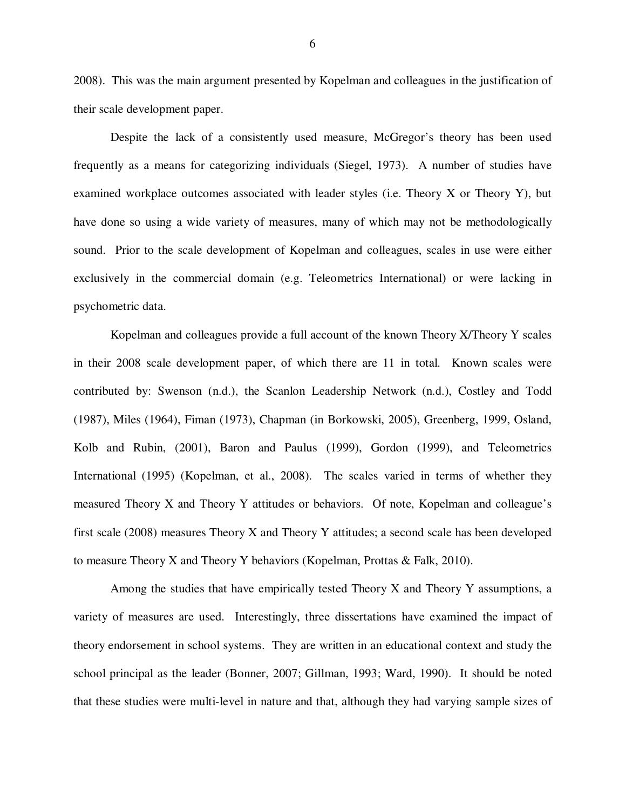2008). This was the main argument presented by Kopelman and colleagues in the justification of their scale development paper.

Despite the lack of a consistently used measure, McGregor's theory has been used frequently as a means for categorizing individuals (Siegel, 1973). A number of studies have examined workplace outcomes associated with leader styles (i.e. Theory X or Theory Y), but have done so using a wide variety of measures, many of which may not be methodologically sound. Prior to the scale development of Kopelman and colleagues, scales in use were either exclusively in the commercial domain (e.g. Teleometrics International) or were lacking in psychometric data.

Kopelman and colleagues provide a full account of the known Theory X/Theory Y scales in their 2008 scale development paper, of which there are 11 in total. Known scales were contributed by: Swenson (n.d.), the Scanlon Leadership Network (n.d.), Costley and Todd (1987), Miles (1964), Fiman (1973), Chapman (in Borkowski, 2005), Greenberg, 1999, Osland, Kolb and Rubin, (2001), Baron and Paulus (1999), Gordon (1999), and Teleometrics International (1995) (Kopelman, et al., 2008). The scales varied in terms of whether they measured Theory X and Theory Y attitudes or behaviors. Of note, Kopelman and colleague's first scale (2008) measures Theory X and Theory Y attitudes; a second scale has been developed to measure Theory X and Theory Y behaviors (Kopelman, Prottas & Falk, 2010).

Among the studies that have empirically tested Theory X and Theory Y assumptions, a variety of measures are used. Interestingly, three dissertations have examined the impact of theory endorsement in school systems. They are written in an educational context and study the school principal as the leader (Bonner, 2007; Gillman, 1993; Ward, 1990). It should be noted that these studies were multi-level in nature and that, although they had varying sample sizes of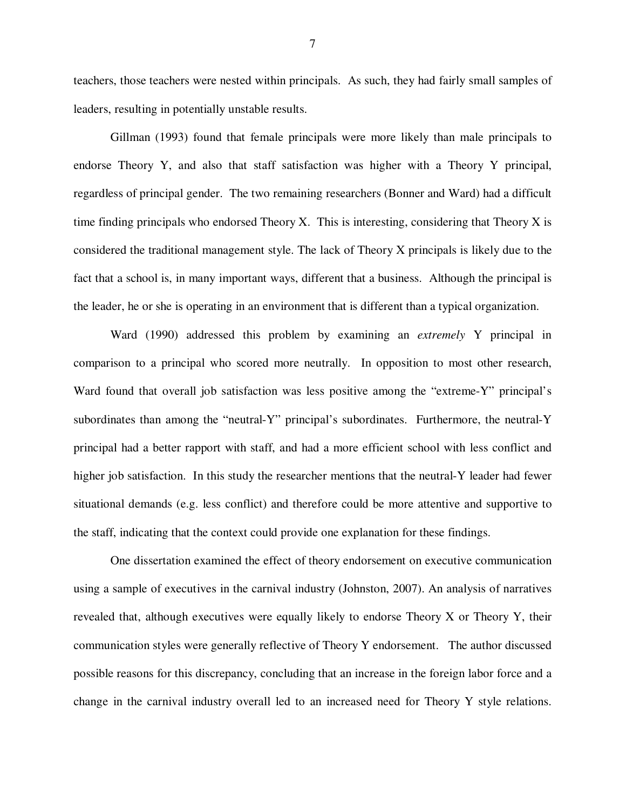teachers, those teachers were nested within principals. As such, they had fairly small samples of leaders, resulting in potentially unstable results.

Gillman (1993) found that female principals were more likely than male principals to endorse Theory Y, and also that staff satisfaction was higher with a Theory Y principal, regardless of principal gender. The two remaining researchers (Bonner and Ward) had a difficult time finding principals who endorsed Theory X. This is interesting, considering that Theory X is considered the traditional management style. The lack of Theory X principals is likely due to the fact that a school is, in many important ways, different that a business. Although the principal is the leader, he or she is operating in an environment that is different than a typical organization.

Ward (1990) addressed this problem by examining an *extremely* Y principal in comparison to a principal who scored more neutrally. In opposition to most other research, Ward found that overall job satisfaction was less positive among the "extreme-Y" principal's subordinates than among the "neutral-Y" principal's subordinates. Furthermore, the neutral-Y principal had a better rapport with staff, and had a more efficient school with less conflict and higher job satisfaction. In this study the researcher mentions that the neutral-Y leader had fewer situational demands (e.g. less conflict) and therefore could be more attentive and supportive to the staff, indicating that the context could provide one explanation for these findings.

One dissertation examined the effect of theory endorsement on executive communication using a sample of executives in the carnival industry (Johnston, 2007). An analysis of narratives revealed that, although executives were equally likely to endorse Theory X or Theory Y, their communication styles were generally reflective of Theory Y endorsement. The author discussed possible reasons for this discrepancy, concluding that an increase in the foreign labor force and a change in the carnival industry overall led to an increased need for Theory Y style relations.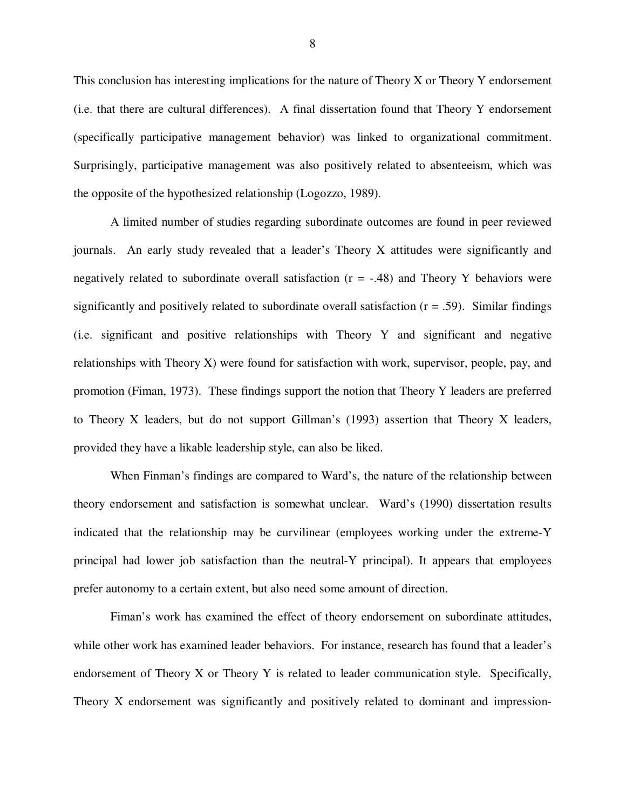This conclusion has interesting implications for the nature of Theory X or Theory Y endorsement (i.e. that there are cultural differences). A final dissertation found that Theory Y endorsement (specifically participative management behavior) was linked to organizational commitment. Surprisingly, participative management was also positively related to absenteeism, which was the opposite of the hypothesized relationship (Logozzo, 1989).

A limited number of studies regarding subordinate outcomes are found in peer reviewed journals. An early study revealed that a leader's Theory X attitudes were significantly and negatively related to subordinate overall satisfaction  $(r = -.48)$  and Theory Y behaviors were significantly and positively related to subordinate overall satisfaction  $(r = .59)$ . Similar findings (i.e. significant and positive relationships with Theory Y and significant and negative relationships with Theory X) were found for satisfaction with work, supervisor, people, pay, and promotion (Fiman, 1973). These findings support the notion that Theory Y leaders are preferred to Theory X leaders, but do not support Gillman's (1993) assertion that Theory X leaders, provided they have a likable leadership style, can also be liked.

When Finman's findings are compared to Ward's, the nature of the relationship between theory endorsement and satisfaction is somewhat unclear. Ward's (1990) dissertation results indicated that the relationship may be curvilinear (employees working under the extreme-Y principal had lower job satisfaction than the neutral-Y principal). It appears that employees prefer autonomy to a certain extent, but also need some amount of direction.

 Fiman's work has examined the effect of theory endorsement on subordinate attitudes, while other work has examined leader behaviors. For instance, research has found that a leader's endorsement of Theory X or Theory Y is related to leader communication style. Specifically, Theory X endorsement was significantly and positively related to dominant and impression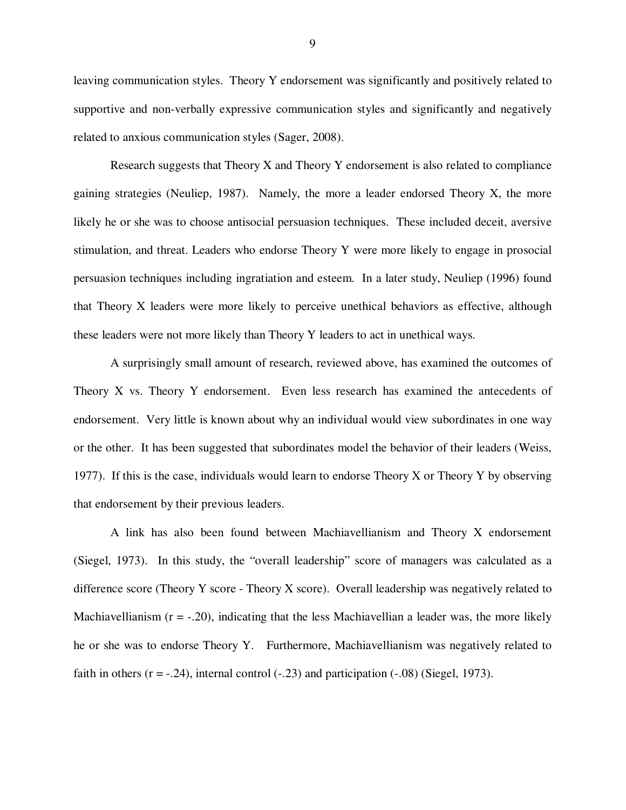leaving communication styles. Theory Y endorsement was significantly and positively related to supportive and non-verbally expressive communication styles and significantly and negatively related to anxious communication styles (Sager, 2008).

Research suggests that Theory X and Theory Y endorsement is also related to compliance gaining strategies (Neuliep, 1987). Namely, the more a leader endorsed Theory X, the more likely he or she was to choose antisocial persuasion techniques. These included deceit, aversive stimulation, and threat. Leaders who endorse Theory Y were more likely to engage in prosocial persuasion techniques including ingratiation and esteem. In a later study, Neuliep (1996) found that Theory X leaders were more likely to perceive unethical behaviors as effective, although these leaders were not more likely than Theory Y leaders to act in unethical ways.

A surprisingly small amount of research, reviewed above, has examined the outcomes of Theory X vs. Theory Y endorsement. Even less research has examined the antecedents of endorsement. Very little is known about why an individual would view subordinates in one way or the other. It has been suggested that subordinates model the behavior of their leaders (Weiss, 1977). If this is the case, individuals would learn to endorse Theory X or Theory Y by observing that endorsement by their previous leaders.

A link has also been found between Machiavellianism and Theory X endorsement (Siegel, 1973). In this study, the "overall leadership" score of managers was calculated as a difference score (Theory Y score - Theory X score). Overall leadership was negatively related to Machiavellianism  $(r = -.20)$ , indicating that the less Machiavellian a leader was, the more likely he or she was to endorse Theory Y. Furthermore, Machiavellianism was negatively related to faith in others  $(r = -.24)$ , internal control  $(-.23)$  and participation  $(-.08)$  (Siegel, 1973).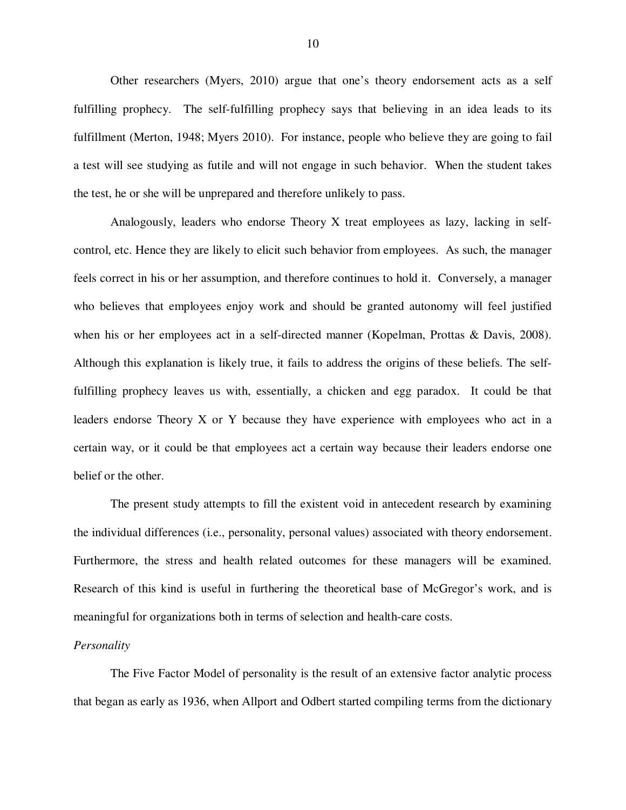Other researchers (Myers, 2010) argue that one's theory endorsement acts as a self fulfilling prophecy. The self-fulfilling prophecy says that believing in an idea leads to its fulfillment (Merton, 1948; Myers 2010). For instance, people who believe they are going to fail a test will see studying as futile and will not engage in such behavior. When the student takes the test, he or she will be unprepared and therefore unlikely to pass.

Analogously, leaders who endorse Theory X treat employees as lazy, lacking in selfcontrol, etc. Hence they are likely to elicit such behavior from employees. As such, the manager feels correct in his or her assumption, and therefore continues to hold it. Conversely, a manager who believes that employees enjoy work and should be granted autonomy will feel justified when his or her employees act in a self-directed manner (Kopelman, Prottas & Davis, 2008). Although this explanation is likely true, it fails to address the origins of these beliefs. The selffulfilling prophecy leaves us with, essentially, a chicken and egg paradox. It could be that leaders endorse Theory X or Y because they have experience with employees who act in a certain way, or it could be that employees act a certain way because their leaders endorse one belief or the other.

The present study attempts to fill the existent void in antecedent research by examining the individual differences (i.e., personality, personal values) associated with theory endorsement. Furthermore, the stress and health related outcomes for these managers will be examined. Research of this kind is useful in furthering the theoretical base of McGregor's work, and is meaningful for organizations both in terms of selection and health-care costs.

#### *Personality*

 The Five Factor Model of personality is the result of an extensive factor analytic process that began as early as 1936, when Allport and Odbert started compiling terms from the dictionary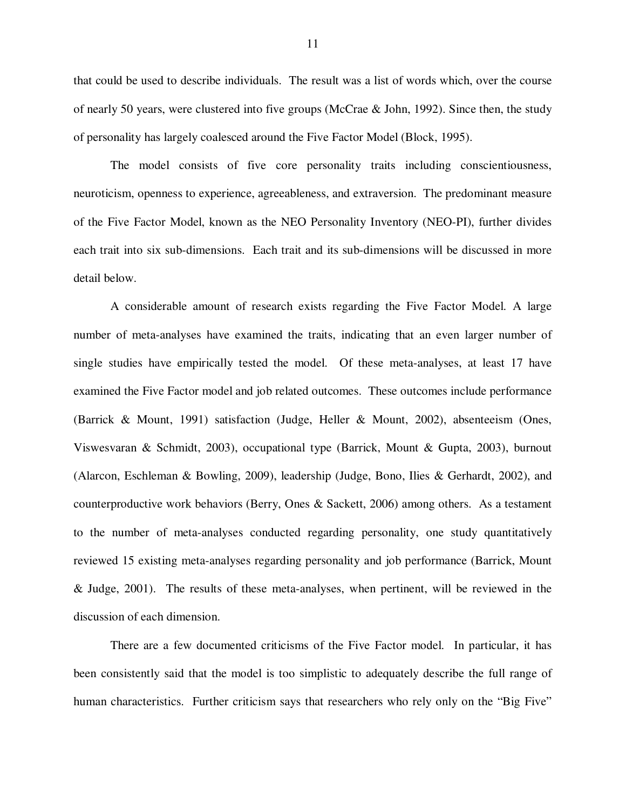that could be used to describe individuals. The result was a list of words which, over the course of nearly 50 years, were clustered into five groups (McCrae & John, 1992). Since then, the study of personality has largely coalesced around the Five Factor Model (Block, 1995).

The model consists of five core personality traits including conscientiousness, neuroticism, openness to experience, agreeableness, and extraversion. The predominant measure of the Five Factor Model, known as the NEO Personality Inventory (NEO-PI), further divides each trait into six sub-dimensions. Each trait and its sub-dimensions will be discussed in more detail below.

A considerable amount of research exists regarding the Five Factor Model. A large number of meta-analyses have examined the traits, indicating that an even larger number of single studies have empirically tested the model. Of these meta-analyses, at least 17 have examined the Five Factor model and job related outcomes. These outcomes include performance (Barrick & Mount, 1991) satisfaction (Judge, Heller & Mount, 2002), absenteeism (Ones, Viswesvaran & Schmidt, 2003), occupational type (Barrick, Mount & Gupta, 2003), burnout (Alarcon, Eschleman & Bowling, 2009), leadership (Judge, Bono, Ilies & Gerhardt, 2002), and counterproductive work behaviors (Berry, Ones & Sackett, 2006) among others. As a testament to the number of meta-analyses conducted regarding personality, one study quantitatively reviewed 15 existing meta-analyses regarding personality and job performance (Barrick, Mount & Judge, 2001). The results of these meta-analyses, when pertinent, will be reviewed in the discussion of each dimension.

There are a few documented criticisms of the Five Factor model. In particular, it has been consistently said that the model is too simplistic to adequately describe the full range of human characteristics. Further criticism says that researchers who rely only on the "Big Five"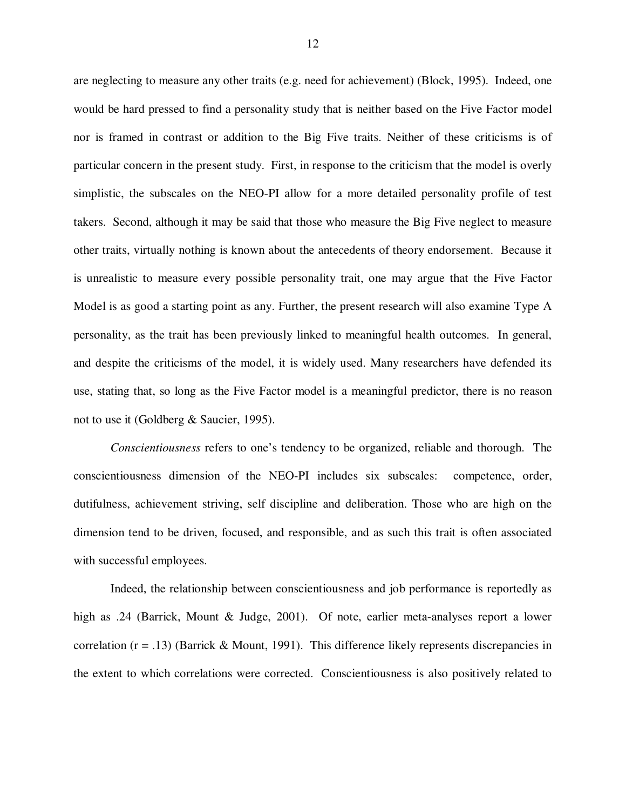are neglecting to measure any other traits (e.g. need for achievement) (Block, 1995). Indeed, one would be hard pressed to find a personality study that is neither based on the Five Factor model nor is framed in contrast or addition to the Big Five traits. Neither of these criticisms is of particular concern in the present study. First, in response to the criticism that the model is overly simplistic, the subscales on the NEO-PI allow for a more detailed personality profile of test takers. Second, although it may be said that those who measure the Big Five neglect to measure other traits, virtually nothing is known about the antecedents of theory endorsement. Because it is unrealistic to measure every possible personality trait, one may argue that the Five Factor Model is as good a starting point as any. Further, the present research will also examine Type A personality, as the trait has been previously linked to meaningful health outcomes. In general, and despite the criticisms of the model, it is widely used. Many researchers have defended its use, stating that, so long as the Five Factor model is a meaningful predictor, there is no reason not to use it (Goldberg & Saucier, 1995).

*Conscientiousness* refers to one's tendency to be organized, reliable and thorough. The conscientiousness dimension of the NEO-PI includes six subscales: competence, order, dutifulness, achievement striving, self discipline and deliberation. Those who are high on the dimension tend to be driven, focused, and responsible, and as such this trait is often associated with successful employees.

Indeed, the relationship between conscientiousness and job performance is reportedly as high as .24 (Barrick, Mount & Judge, 2001). Of note, earlier meta-analyses report a lower correlation  $(r = .13)$  (Barrick & Mount, 1991). This difference likely represents discrepancies in the extent to which correlations were corrected. Conscientiousness is also positively related to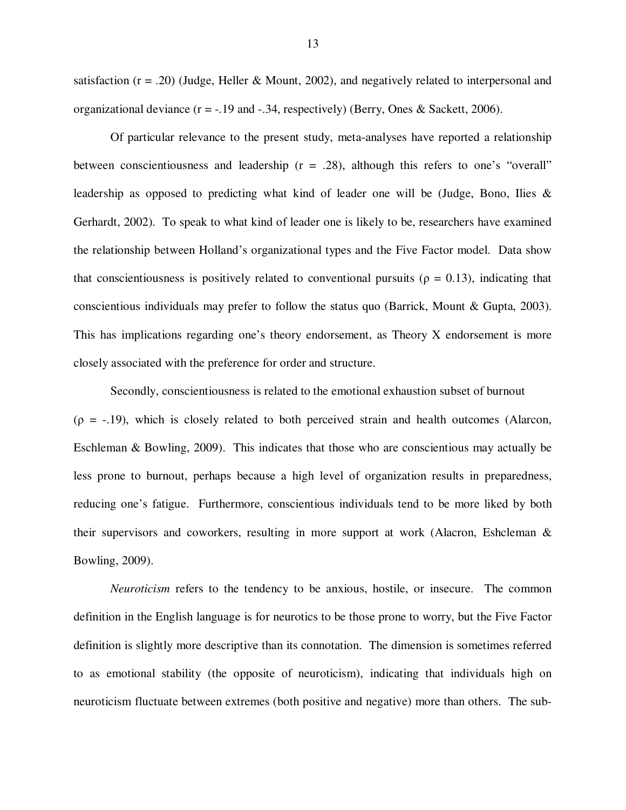satisfaction ( $r = .20$ ) (Judge, Heller & Mount, 2002), and negatively related to interpersonal and organizational deviance  $(r = -.19$  and  $-.34$ , respectively) (Berry, Ones & Sackett, 2006).

Of particular relevance to the present study, meta-analyses have reported a relationship between conscientiousness and leadership  $(r = .28)$ , although this refers to one's "overall" leadership as opposed to predicting what kind of leader one will be (Judge, Bono, Ilies & Gerhardt, 2002). To speak to what kind of leader one is likely to be, researchers have examined the relationship between Holland's organizational types and the Five Factor model. Data show that conscientiousness is positively related to conventional pursuits ( $\rho = 0.13$ ), indicating that conscientious individuals may prefer to follow the status quo (Barrick, Mount & Gupta, 2003). This has implications regarding one's theory endorsement, as Theory X endorsement is more closely associated with the preference for order and structure.

Secondly, conscientiousness is related to the emotional exhaustion subset of burnout  $(p = -.19)$ , which is closely related to both perceived strain and health outcomes (Alarcon, Eschleman & Bowling, 2009). This indicates that those who are conscientious may actually be less prone to burnout, perhaps because a high level of organization results in preparedness, reducing one's fatigue. Furthermore, conscientious individuals tend to be more liked by both their supervisors and coworkers, resulting in more support at work (Alacron, Eshcleman & Bowling, 2009).

 *Neuroticism* refers to the tendency to be anxious, hostile, or insecure. The common definition in the English language is for neurotics to be those prone to worry, but the Five Factor definition is slightly more descriptive than its connotation. The dimension is sometimes referred to as emotional stability (the opposite of neuroticism), indicating that individuals high on neuroticism fluctuate between extremes (both positive and negative) more than others. The sub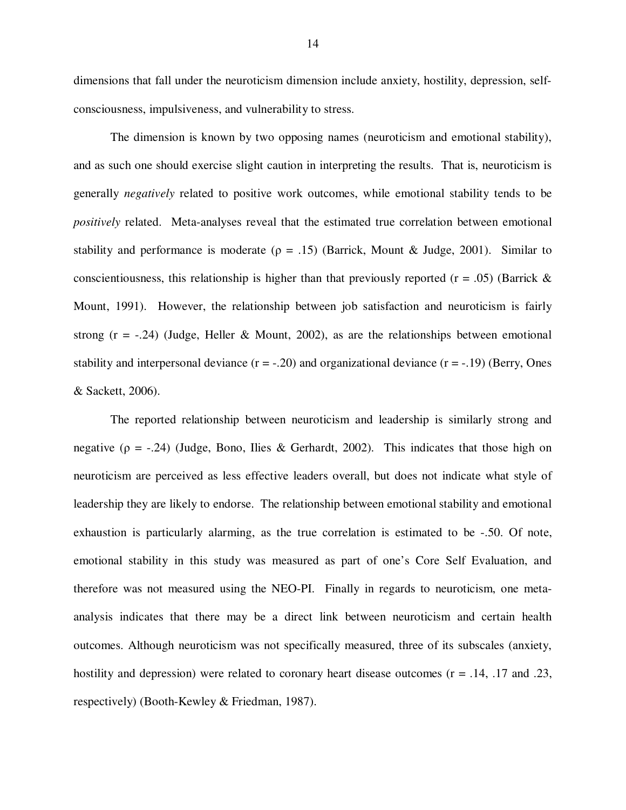dimensions that fall under the neuroticism dimension include anxiety, hostility, depression, selfconsciousness, impulsiveness, and vulnerability to stress.

 The dimension is known by two opposing names (neuroticism and emotional stability), and as such one should exercise slight caution in interpreting the results. That is, neuroticism is generally *negatively* related to positive work outcomes, while emotional stability tends to be *positively* related. Meta-analyses reveal that the estimated true correlation between emotional stability and performance is moderate ( $\rho = .15$ ) (Barrick, Mount & Judge, 2001). Similar to conscientiousness, this relationship is higher than that previously reported ( $r = .05$ ) (Barrick & Mount, 1991). However, the relationship between job satisfaction and neuroticism is fairly strong ( $r = -0.24$ ) (Judge, Heller & Mount, 2002), as are the relationships between emotional stability and interpersonal deviance  $(r = -.20)$  and organizational deviance  $(r = -.19)$  (Berry, Ones & Sackett, 2006).

 The reported relationship between neuroticism and leadership is similarly strong and negative ( $\rho = -0.24$ ) (Judge, Bono, Ilies & Gerhardt, 2002). This indicates that those high on neuroticism are perceived as less effective leaders overall, but does not indicate what style of leadership they are likely to endorse. The relationship between emotional stability and emotional exhaustion is particularly alarming, as the true correlation is estimated to be -.50. Of note, emotional stability in this study was measured as part of one's Core Self Evaluation, and therefore was not measured using the NEO-PI. Finally in regards to neuroticism, one metaanalysis indicates that there may be a direct link between neuroticism and certain health outcomes. Although neuroticism was not specifically measured, three of its subscales (anxiety, hostility and depression) were related to coronary heart disease outcomes (r = .14, .17 and .23, respectively) (Booth-Kewley & Friedman, 1987).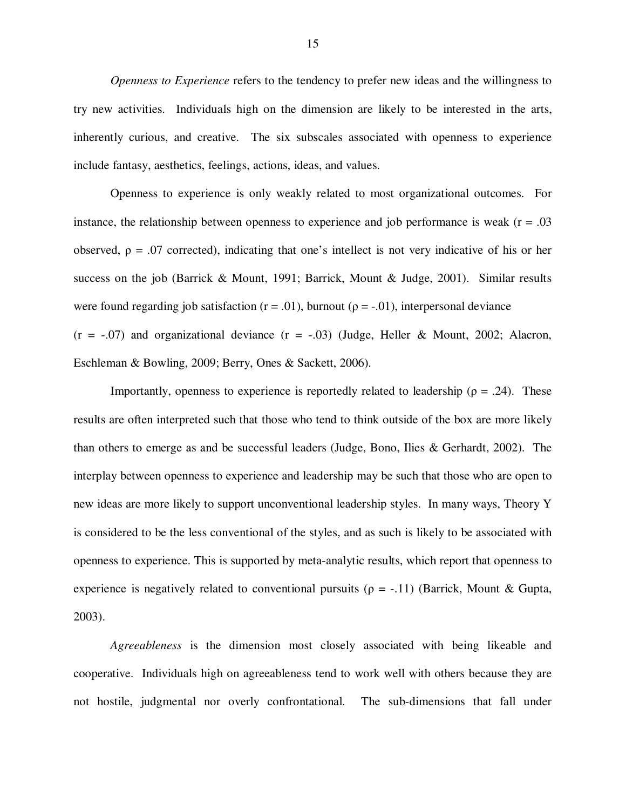*Openness to Experience* refers to the tendency to prefer new ideas and the willingness to try new activities. Individuals high on the dimension are likely to be interested in the arts, inherently curious, and creative. The six subscales associated with openness to experience include fantasy, aesthetics, feelings, actions, ideas, and values.

 Openness to experience is only weakly related to most organizational outcomes. For instance, the relationship between openness to experience and job performance is weak ( $r = .03$ ) observed,  $\rho = .07$  corrected), indicating that one's intellect is not very indicative of his or her success on the job (Barrick & Mount, 1991; Barrick, Mount & Judge, 2001). Similar results were found regarding job satisfaction ( $r = .01$ ), burnout ( $\rho = -.01$ ), interpersonal deviance  $(r = -.07)$  and organizational deviance  $(r = -.03)$  (Judge, Heller & Mount, 2002; Alacron, Eschleman & Bowling, 2009; Berry, Ones & Sackett, 2006).

Importantly, openness to experience is reportedly related to leadership ( $\rho = .24$ ). These results are often interpreted such that those who tend to think outside of the box are more likely than others to emerge as and be successful leaders (Judge, Bono, Ilies & Gerhardt, 2002). The interplay between openness to experience and leadership may be such that those who are open to new ideas are more likely to support unconventional leadership styles. In many ways, Theory Y is considered to be the less conventional of the styles, and as such is likely to be associated with openness to experience. This is supported by meta-analytic results, which report that openness to experience is negatively related to conventional pursuits ( $\rho = -11$ ) (Barrick, Mount & Gupta, 2003).

 *Agreeableness* is the dimension most closely associated with being likeable and cooperative. Individuals high on agreeableness tend to work well with others because they are not hostile, judgmental nor overly confrontational. The sub-dimensions that fall under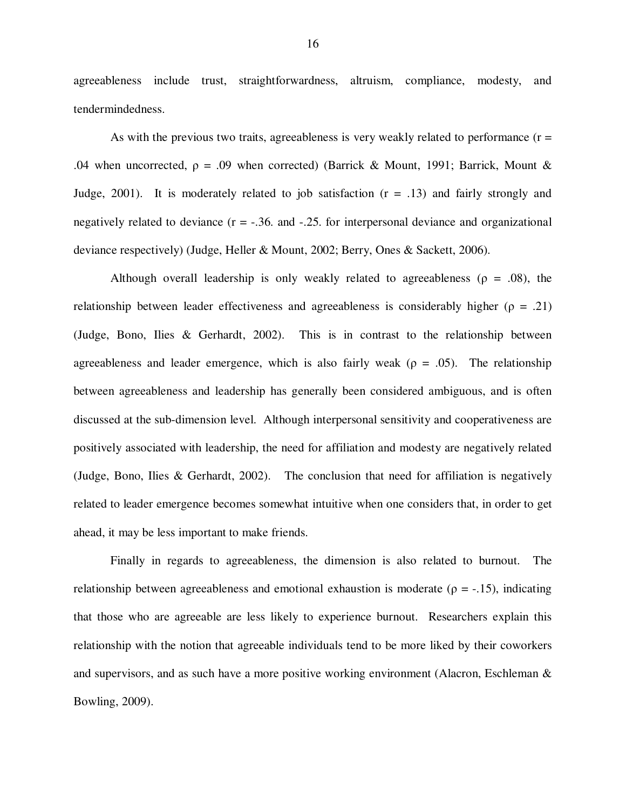agreeableness include trust, straightforwardness, altruism, compliance, modesty, and tendermindedness.

As with the previous two traits, agreeableness is very weakly related to performance  $(r =$ .04 when uncorrected,  $\rho = .09$  when corrected) (Barrick & Mount, 1991; Barrick, Mount & Judge, 2001). It is moderately related to job satisfaction  $(r = .13)$  and fairly strongly and negatively related to deviance  $(r = -.36)$  and  $-.25$ . for interpersonal deviance and organizational deviance respectively) (Judge, Heller & Mount, 2002; Berry, Ones & Sackett, 2006).

Although overall leadership is only weakly related to agreeableness ( $\rho = .08$ ), the relationship between leader effectiveness and agreeableness is considerably higher ( $\rho = .21$ ) (Judge, Bono, Ilies & Gerhardt, 2002). This is in contrast to the relationship between agreeableness and leader emergence, which is also fairly weak ( $\rho = .05$ ). The relationship between agreeableness and leadership has generally been considered ambiguous, and is often discussed at the sub-dimension level. Although interpersonal sensitivity and cooperativeness are positively associated with leadership, the need for affiliation and modesty are negatively related (Judge, Bono, Ilies & Gerhardt, 2002). The conclusion that need for affiliation is negatively related to leader emergence becomes somewhat intuitive when one considers that, in order to get ahead, it may be less important to make friends.

Finally in regards to agreeableness, the dimension is also related to burnout. The relationship between agreeableness and emotional exhaustion is moderate ( $\rho = -15$ ), indicating that those who are agreeable are less likely to experience burnout. Researchers explain this relationship with the notion that agreeable individuals tend to be more liked by their coworkers and supervisors, and as such have a more positive working environment (Alacron, Eschleman & Bowling, 2009).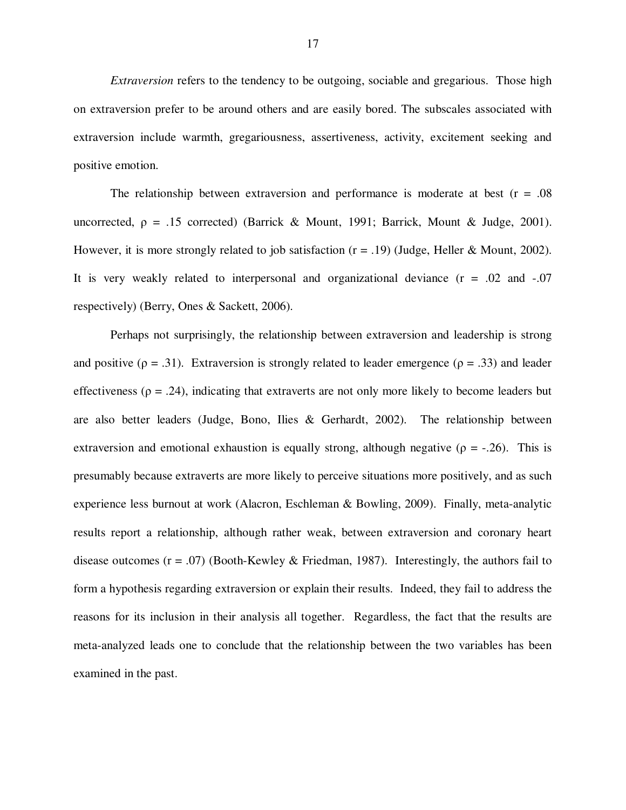*Extraversion* refers to the tendency to be outgoing, sociable and gregarious. Those high on extraversion prefer to be around others and are easily bored. The subscales associated with extraversion include warmth, gregariousness, assertiveness, activity, excitement seeking and positive emotion.

The relationship between extraversion and performance is moderate at best  $(r = .08$ uncorrected,  $\rho = .15$  corrected) (Barrick & Mount, 1991; Barrick, Mount & Judge, 2001). However, it is more strongly related to job satisfaction  $(r = .19)$  (Judge, Heller & Mount, 2002). It is very weakly related to interpersonal and organizational deviance  $(r = .02 \text{ and } .07$ respectively) (Berry, Ones & Sackett, 2006).

 Perhaps not surprisingly, the relationship between extraversion and leadership is strong and positive ( $\rho = .31$ ). Extraversion is strongly related to leader emergence ( $\rho = .33$ ) and leader effectiveness ( $\rho = .24$ ), indicating that extraverts are not only more likely to become leaders but are also better leaders (Judge, Bono, Ilies & Gerhardt, 2002). The relationship between extraversion and emotional exhaustion is equally strong, although negative ( $\rho = -.26$ ). This is presumably because extraverts are more likely to perceive situations more positively, and as such experience less burnout at work (Alacron, Eschleman & Bowling, 2009). Finally, meta-analytic results report a relationship, although rather weak, between extraversion and coronary heart disease outcomes  $(r = .07)$  (Booth-Kewley & Friedman, 1987). Interestingly, the authors fail to form a hypothesis regarding extraversion or explain their results. Indeed, they fail to address the reasons for its inclusion in their analysis all together. Regardless, the fact that the results are meta-analyzed leads one to conclude that the relationship between the two variables has been examined in the past.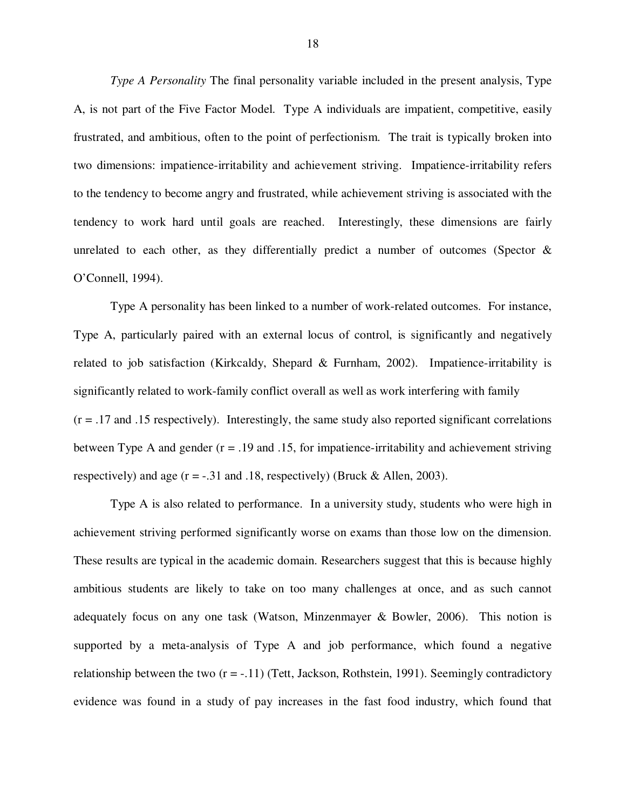*Type A Personality* The final personality variable included in the present analysis, Type A, is not part of the Five Factor Model. Type A individuals are impatient, competitive, easily frustrated, and ambitious, often to the point of perfectionism. The trait is typically broken into two dimensions: impatience-irritability and achievement striving. Impatience-irritability refers to the tendency to become angry and frustrated, while achievement striving is associated with the tendency to work hard until goals are reached. Interestingly, these dimensions are fairly unrelated to each other, as they differentially predict a number of outcomes (Spector  $\&$ O'Connell, 1994).

Type A personality has been linked to a number of work-related outcomes. For instance, Type A, particularly paired with an external locus of control, is significantly and negatively related to job satisfaction (Kirkcaldy, Shepard & Furnham, 2002). Impatience-irritability is significantly related to work-family conflict overall as well as work interfering with family  $(r = .17$  and  $.15$  respectively). Interestingly, the same study also reported significant correlations between Type A and gender  $(r = .19$  and  $.15$ , for impatience-irritability and achievement striving respectively) and age  $(r = -0.31 \text{ and } 0.18$ , respectively) (Bruck & Allen, 2003).

Type A is also related to performance. In a university study, students who were high in achievement striving performed significantly worse on exams than those low on the dimension. These results are typical in the academic domain. Researchers suggest that this is because highly ambitious students are likely to take on too many challenges at once, and as such cannot adequately focus on any one task (Watson, Minzenmayer & Bowler, 2006). This notion is supported by a meta-analysis of Type A and job performance, which found a negative relationship between the two  $(r = -11)$  (Tett, Jackson, Rothstein, 1991). Seemingly contradictory evidence was found in a study of pay increases in the fast food industry, which found that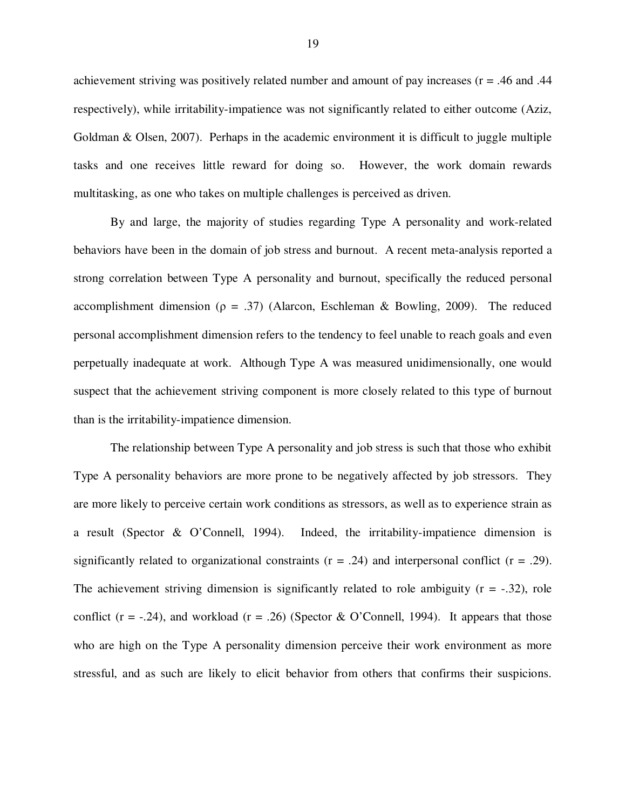achievement striving was positively related number and amount of pay increases (r = .46 and .44 respectively), while irritability-impatience was not significantly related to either outcome (Aziz, Goldman & Olsen, 2007). Perhaps in the academic environment it is difficult to juggle multiple tasks and one receives little reward for doing so. However, the work domain rewards multitasking, as one who takes on multiple challenges is perceived as driven.

By and large, the majority of studies regarding Type A personality and work-related behaviors have been in the domain of job stress and burnout. A recent meta-analysis reported a strong correlation between Type A personality and burnout, specifically the reduced personal accomplishment dimension ( $\rho = .37$ ) (Alarcon, Eschleman & Bowling, 2009). The reduced personal accomplishment dimension refers to the tendency to feel unable to reach goals and even perpetually inadequate at work. Although Type A was measured unidimensionally, one would suspect that the achievement striving component is more closely related to this type of burnout than is the irritability-impatience dimension.

The relationship between Type A personality and job stress is such that those who exhibit Type A personality behaviors are more prone to be negatively affected by job stressors. They are more likely to perceive certain work conditions as stressors, as well as to experience strain as a result (Spector & O'Connell, 1994). Indeed, the irritability-impatience dimension is significantly related to organizational constraints  $(r = .24)$  and interpersonal conflict  $(r = .29)$ . The achievement striving dimension is significantly related to role ambiguity  $(r = -.32)$ , role conflict (r = -.24), and workload (r = .26) (Spector & O'Connell, 1994). It appears that those who are high on the Type A personality dimension perceive their work environment as more stressful, and as such are likely to elicit behavior from others that confirms their suspicions.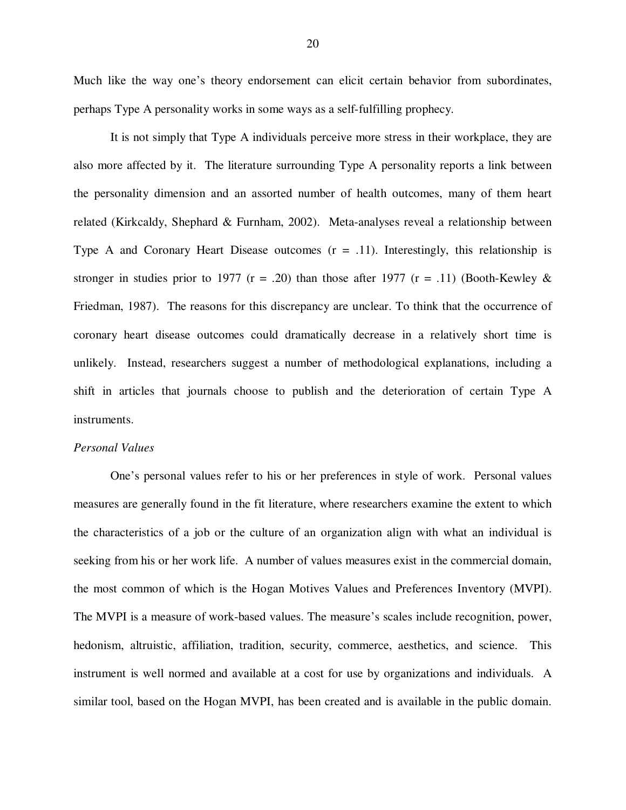Much like the way one's theory endorsement can elicit certain behavior from subordinates, perhaps Type A personality works in some ways as a self-fulfilling prophecy.

It is not simply that Type A individuals perceive more stress in their workplace, they are also more affected by it. The literature surrounding Type A personality reports a link between the personality dimension and an assorted number of health outcomes, many of them heart related (Kirkcaldy, Shephard & Furnham, 2002). Meta-analyses reveal a relationship between Type A and Coronary Heart Disease outcomes  $(r = .11)$ . Interestingly, this relationship is stronger in studies prior to 1977 ( $r = .20$ ) than those after 1977 ( $r = .11$ ) (Booth-Kewley & Friedman, 1987). The reasons for this discrepancy are unclear. To think that the occurrence of coronary heart disease outcomes could dramatically decrease in a relatively short time is unlikely. Instead, researchers suggest a number of methodological explanations, including a shift in articles that journals choose to publish and the deterioration of certain Type A instruments.

#### *Personal Values*

 One's personal values refer to his or her preferences in style of work. Personal values measures are generally found in the fit literature, where researchers examine the extent to which the characteristics of a job or the culture of an organization align with what an individual is seeking from his or her work life. A number of values measures exist in the commercial domain, the most common of which is the Hogan Motives Values and Preferences Inventory (MVPI). The MVPI is a measure of work-based values. The measure's scales include recognition, power, hedonism, altruistic, affiliation, tradition, security, commerce, aesthetics, and science. This instrument is well normed and available at a cost for use by organizations and individuals. A similar tool, based on the Hogan MVPI, has been created and is available in the public domain.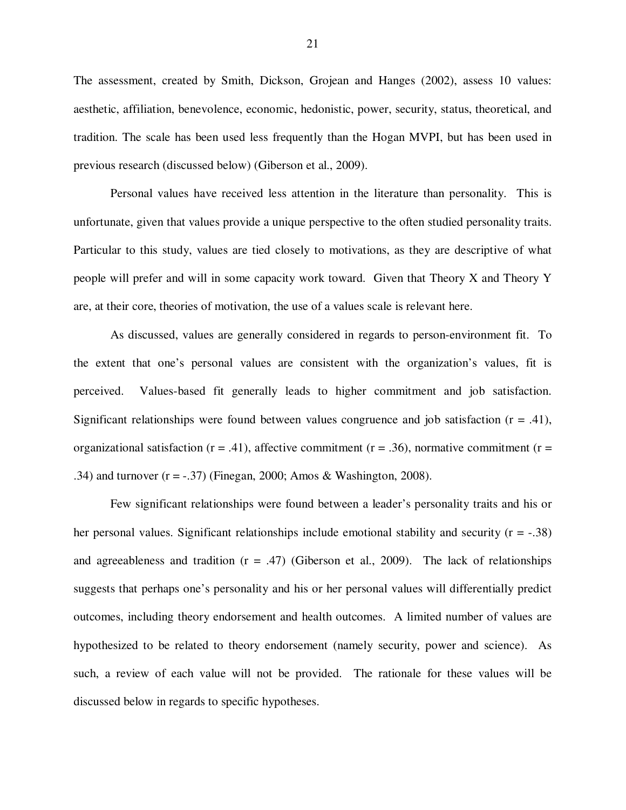The assessment, created by Smith, Dickson, Grojean and Hanges (2002), assess 10 values: aesthetic, affiliation, benevolence, economic, hedonistic, power, security, status, theoretical, and tradition. The scale has been used less frequently than the Hogan MVPI, but has been used in previous research (discussed below) (Giberson et al., 2009).

Personal values have received less attention in the literature than personality. This is unfortunate, given that values provide a unique perspective to the often studied personality traits. Particular to this study, values are tied closely to motivations, as they are descriptive of what people will prefer and will in some capacity work toward. Given that Theory X and Theory Y are, at their core, theories of motivation, the use of a values scale is relevant here.

 As discussed, values are generally considered in regards to person-environment fit. To the extent that one's personal values are consistent with the organization's values, fit is perceived. Values-based fit generally leads to higher commitment and job satisfaction. Significant relationships were found between values congruence and job satisfaction  $(r = .41)$ , organizational satisfaction ( $r = .41$ ), affective commitment ( $r = .36$ ), normative commitment ( $r =$ .34) and turnover (r = -.37) (Finegan, 2000; Amos & Washington, 2008).

 Few significant relationships were found between a leader's personality traits and his or her personal values. Significant relationships include emotional stability and security  $(r = -.38)$ and agreeableness and tradition  $(r = .47)$  (Giberson et al., 2009). The lack of relationships suggests that perhaps one's personality and his or her personal values will differentially predict outcomes, including theory endorsement and health outcomes. A limited number of values are hypothesized to be related to theory endorsement (namely security, power and science). As such, a review of each value will not be provided. The rationale for these values will be discussed below in regards to specific hypotheses.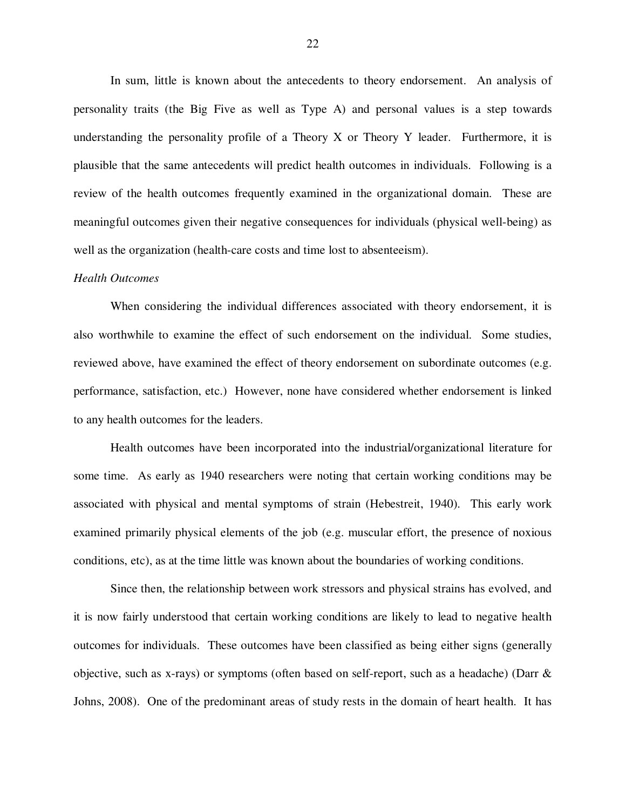In sum, little is known about the antecedents to theory endorsement. An analysis of personality traits (the Big Five as well as Type A) and personal values is a step towards understanding the personality profile of a Theory X or Theory Y leader. Furthermore, it is plausible that the same antecedents will predict health outcomes in individuals. Following is a review of the health outcomes frequently examined in the organizational domain. These are meaningful outcomes given their negative consequences for individuals (physical well-being) as well as the organization (health-care costs and time lost to absenteeism).

#### *Health Outcomes*

 When considering the individual differences associated with theory endorsement, it is also worthwhile to examine the effect of such endorsement on the individual. Some studies, reviewed above, have examined the effect of theory endorsement on subordinate outcomes (e.g. performance, satisfaction, etc.) However, none have considered whether endorsement is linked to any health outcomes for the leaders.

 Health outcomes have been incorporated into the industrial/organizational literature for some time. As early as 1940 researchers were noting that certain working conditions may be associated with physical and mental symptoms of strain (Hebestreit, 1940). This early work examined primarily physical elements of the job (e.g. muscular effort, the presence of noxious conditions, etc), as at the time little was known about the boundaries of working conditions.

Since then, the relationship between work stressors and physical strains has evolved, and it is now fairly understood that certain working conditions are likely to lead to negative health outcomes for individuals. These outcomes have been classified as being either signs (generally objective, such as x-rays) or symptoms (often based on self-report, such as a headache) (Darr & Johns, 2008). One of the predominant areas of study rests in the domain of heart health. It has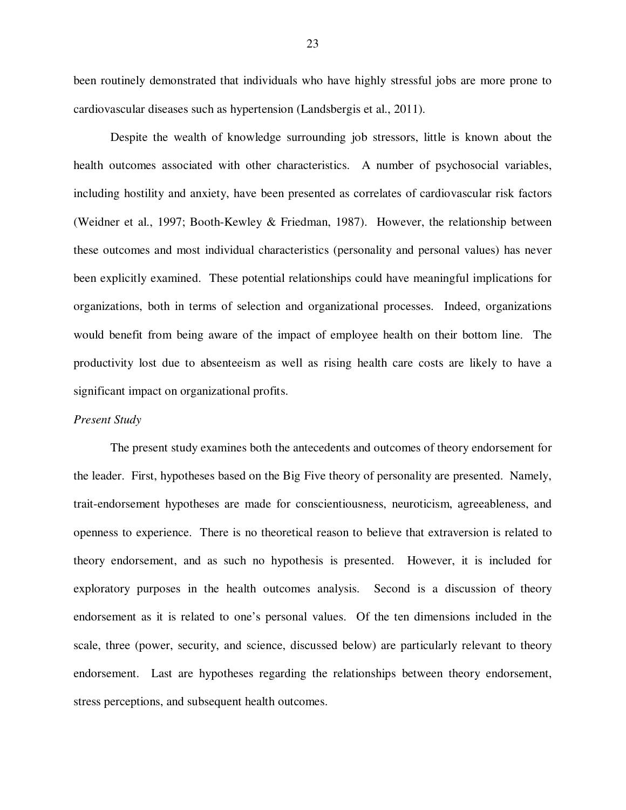been routinely demonstrated that individuals who have highly stressful jobs are more prone to cardiovascular diseases such as hypertension (Landsbergis et al., 2011).

Despite the wealth of knowledge surrounding job stressors, little is known about the health outcomes associated with other characteristics. A number of psychosocial variables, including hostility and anxiety, have been presented as correlates of cardiovascular risk factors (Weidner et al., 1997; Booth-Kewley & Friedman, 1987). However, the relationship between these outcomes and most individual characteristics (personality and personal values) has never been explicitly examined. These potential relationships could have meaningful implications for organizations, both in terms of selection and organizational processes. Indeed, organizations would benefit from being aware of the impact of employee health on their bottom line. The productivity lost due to absenteeism as well as rising health care costs are likely to have a significant impact on organizational profits.

#### *Present Study*

The present study examines both the antecedents and outcomes of theory endorsement for the leader. First, hypotheses based on the Big Five theory of personality are presented. Namely, trait-endorsement hypotheses are made for conscientiousness, neuroticism, agreeableness, and openness to experience. There is no theoretical reason to believe that extraversion is related to theory endorsement, and as such no hypothesis is presented. However, it is included for exploratory purposes in the health outcomes analysis. Second is a discussion of theory endorsement as it is related to one's personal values. Of the ten dimensions included in the scale, three (power, security, and science, discussed below) are particularly relevant to theory endorsement. Last are hypotheses regarding the relationships between theory endorsement, stress perceptions, and subsequent health outcomes.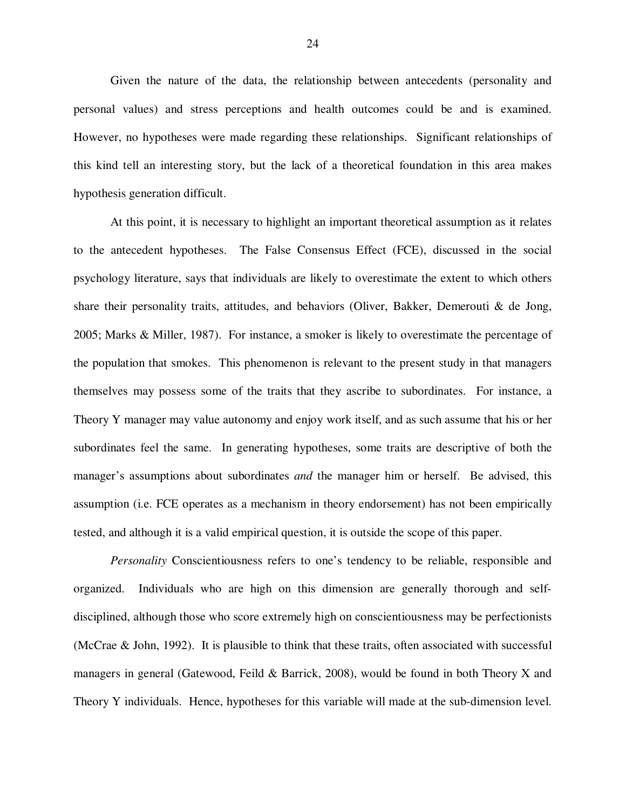Given the nature of the data, the relationship between antecedents (personality and personal values) and stress perceptions and health outcomes could be and is examined. However, no hypotheses were made regarding these relationships. Significant relationships of this kind tell an interesting story, but the lack of a theoretical foundation in this area makes hypothesis generation difficult.

At this point, it is necessary to highlight an important theoretical assumption as it relates to the antecedent hypotheses. The False Consensus Effect (FCE), discussed in the social psychology literature, says that individuals are likely to overestimate the extent to which others share their personality traits, attitudes, and behaviors (Oliver, Bakker, Demerouti  $\&$  de Jong, 2005; Marks & Miller, 1987). For instance, a smoker is likely to overestimate the percentage of the population that smokes. This phenomenon is relevant to the present study in that managers themselves may possess some of the traits that they ascribe to subordinates. For instance, a Theory Y manager may value autonomy and enjoy work itself, and as such assume that his or her subordinates feel the same. In generating hypotheses, some traits are descriptive of both the manager's assumptions about subordinates *and* the manager him or herself. Be advised, this assumption (i.e. FCE operates as a mechanism in theory endorsement) has not been empirically tested, and although it is a valid empirical question, it is outside the scope of this paper.

*Personality* Conscientiousness refers to one's tendency to be reliable, responsible and organized. Individuals who are high on this dimension are generally thorough and selfdisciplined, although those who score extremely high on conscientiousness may be perfectionists (McCrae & John, 1992). It is plausible to think that these traits, often associated with successful managers in general (Gatewood, Feild & Barrick, 2008), would be found in both Theory X and Theory Y individuals. Hence, hypotheses for this variable will made at the sub-dimension level.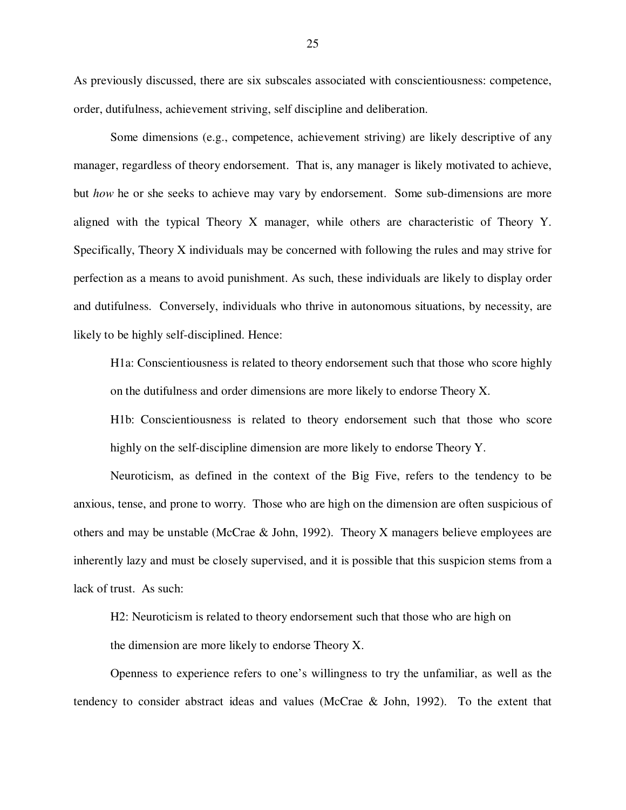As previously discussed, there are six subscales associated with conscientiousness: competence, order, dutifulness, achievement striving, self discipline and deliberation.

Some dimensions (e.g., competence, achievement striving) are likely descriptive of any manager, regardless of theory endorsement. That is, any manager is likely motivated to achieve, but *how* he or she seeks to achieve may vary by endorsement. Some sub-dimensions are more aligned with the typical Theory X manager, while others are characteristic of Theory Y. Specifically, Theory X individuals may be concerned with following the rules and may strive for perfection as a means to avoid punishment. As such, these individuals are likely to display order and dutifulness. Conversely, individuals who thrive in autonomous situations, by necessity, are likely to be highly self-disciplined. Hence:

H1a: Conscientiousness is related to theory endorsement such that those who score highly on the dutifulness and order dimensions are more likely to endorse Theory X.

H1b: Conscientiousness is related to theory endorsement such that those who score highly on the self-discipline dimension are more likely to endorse Theory Y.

Neuroticism, as defined in the context of the Big Five, refers to the tendency to be anxious, tense, and prone to worry. Those who are high on the dimension are often suspicious of others and may be unstable (McCrae & John, 1992). Theory X managers believe employees are inherently lazy and must be closely supervised, and it is possible that this suspicion stems from a lack of trust. As such:

 H2: Neuroticism is related to theory endorsement such that those who are high on the dimension are more likely to endorse Theory X.

Openness to experience refers to one's willingness to try the unfamiliar, as well as the tendency to consider abstract ideas and values (McCrae & John, 1992). To the extent that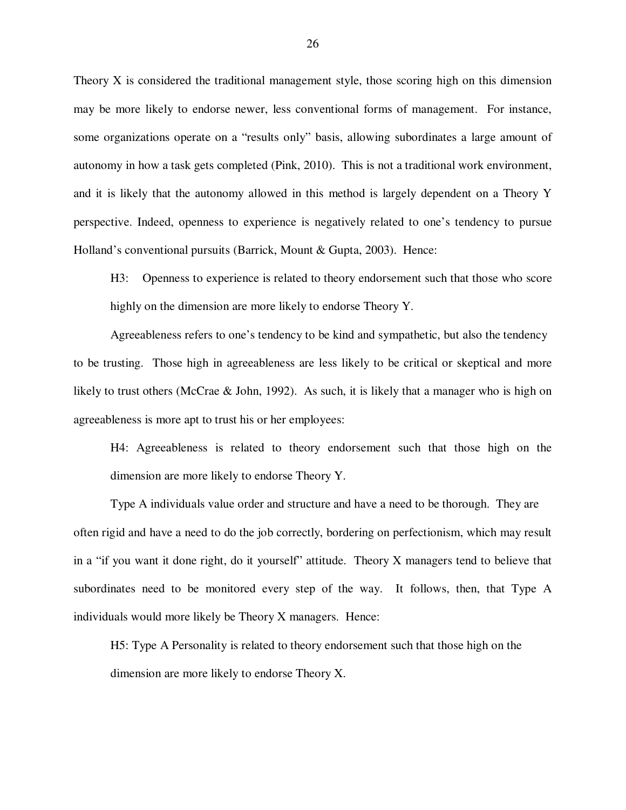Theory X is considered the traditional management style, those scoring high on this dimension may be more likely to endorse newer, less conventional forms of management. For instance, some organizations operate on a "results only" basis, allowing subordinates a large amount of autonomy in how a task gets completed (Pink, 2010). This is not a traditional work environment, and it is likely that the autonomy allowed in this method is largely dependent on a Theory Y perspective. Indeed, openness to experience is negatively related to one's tendency to pursue Holland's conventional pursuits (Barrick, Mount & Gupta, 2003). Hence:

H3: Openness to experience is related to theory endorsement such that those who score highly on the dimension are more likely to endorse Theory Y.

Agreeableness refers to one's tendency to be kind and sympathetic, but also the tendency to be trusting. Those high in agreeableness are less likely to be critical or skeptical and more likely to trust others (McCrae & John, 1992). As such, it is likely that a manager who is high on agreeableness is more apt to trust his or her employees:

H4: Agreeableness is related to theory endorsement such that those high on the dimension are more likely to endorse Theory Y.

Type A individuals value order and structure and have a need to be thorough. They are often rigid and have a need to do the job correctly, bordering on perfectionism, which may result in a "if you want it done right, do it yourself" attitude. Theory X managers tend to believe that subordinates need to be monitored every step of the way. It follows, then, that Type A individuals would more likely be Theory X managers. Hence:

 H5: Type A Personality is related to theory endorsement such that those high on the dimension are more likely to endorse Theory X.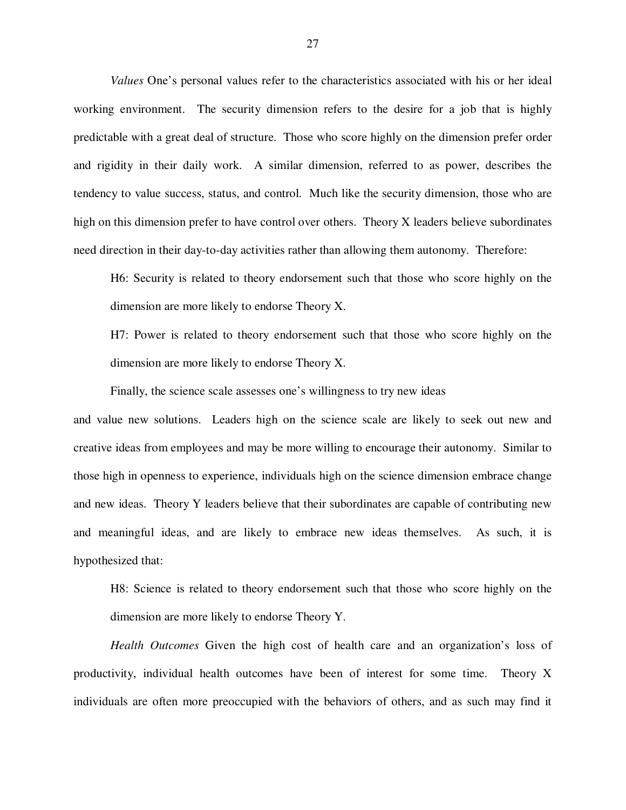*Values* One's personal values refer to the characteristics associated with his or her ideal working environment. The security dimension refers to the desire for a job that is highly predictable with a great deal of structure. Those who score highly on the dimension prefer order and rigidity in their daily work. A similar dimension, referred to as power, describes the tendency to value success, status, and control. Much like the security dimension, those who are high on this dimension prefer to have control over others. Theory X leaders believe subordinates need direction in their day-to-day activities rather than allowing them autonomy. Therefore:

H6: Security is related to theory endorsement such that those who score highly on the dimension are more likely to endorse Theory X.

H7: Power is related to theory endorsement such that those who score highly on the dimension are more likely to endorse Theory X.

Finally, the science scale assesses one's willingness to try new ideas

and value new solutions. Leaders high on the science scale are likely to seek out new and creative ideas from employees and may be more willing to encourage their autonomy. Similar to those high in openness to experience, individuals high on the science dimension embrace change and new ideas. Theory Y leaders believe that their subordinates are capable of contributing new and meaningful ideas, and are likely to embrace new ideas themselves. As such, it is hypothesized that:

H8: Science is related to theory endorsement such that those who score highly on the dimension are more likely to endorse Theory Y.

*Health Outcomes* Given the high cost of health care and an organization's loss of productivity, individual health outcomes have been of interest for some time. Theory X individuals are often more preoccupied with the behaviors of others, and as such may find it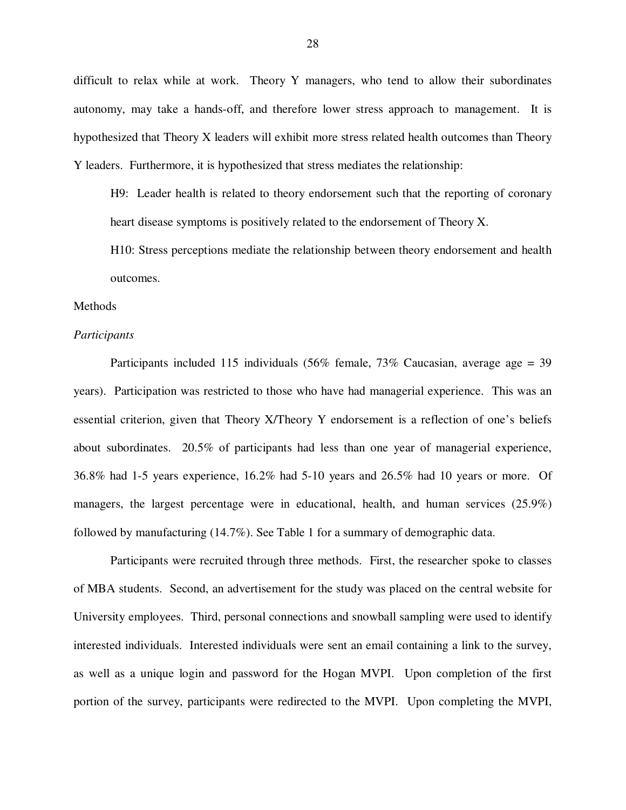difficult to relax while at work. Theory Y managers, who tend to allow their subordinates autonomy, may take a hands-off, and therefore lower stress approach to management. It is hypothesized that Theory X leaders will exhibit more stress related health outcomes than Theory Y leaders. Furthermore, it is hypothesized that stress mediates the relationship:

H9: Leader health is related to theory endorsement such that the reporting of coronary heart disease symptoms is positively related to the endorsement of Theory X.

H10: Stress perceptions mediate the relationship between theory endorsement and health outcomes.

#### Methods

#### *Participants*

 Participants included 115 individuals (56% female, 73% Caucasian, average age = 39 years). Participation was restricted to those who have had managerial experience. This was an essential criterion, given that Theory X/Theory Y endorsement is a reflection of one's beliefs about subordinates. 20.5% of participants had less than one year of managerial experience, 36.8% had 1-5 years experience, 16.2% had 5-10 years and 26.5% had 10 years or more. Of managers, the largest percentage were in educational, health, and human services (25.9%) followed by manufacturing (14.7%). See Table 1 for a summary of demographic data.

Participants were recruited through three methods. First, the researcher spoke to classes of MBA students. Second, an advertisement for the study was placed on the central website for University employees. Third, personal connections and snowball sampling were used to identify interested individuals. Interested individuals were sent an email containing a link to the survey, as well as a unique login and password for the Hogan MVPI. Upon completion of the first portion of the survey, participants were redirected to the MVPI. Upon completing the MVPI,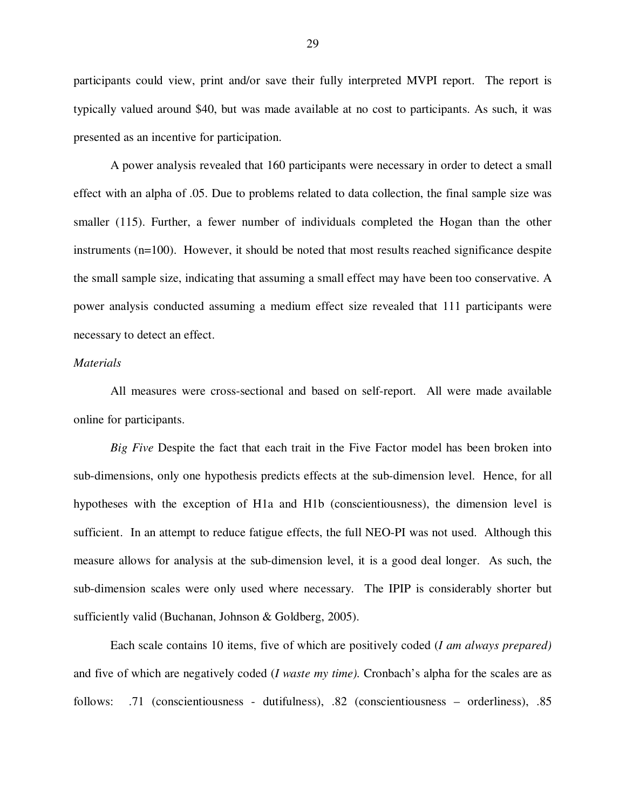participants could view, print and/or save their fully interpreted MVPI report. The report is typically valued around \$40, but was made available at no cost to participants. As such, it was presented as an incentive for participation.

A power analysis revealed that 160 participants were necessary in order to detect a small effect with an alpha of .05. Due to problems related to data collection, the final sample size was smaller (115). Further, a fewer number of individuals completed the Hogan than the other instruments (n=100). However, it should be noted that most results reached significance despite the small sample size, indicating that assuming a small effect may have been too conservative. A power analysis conducted assuming a medium effect size revealed that 111 participants were necessary to detect an effect.

#### *Materials*

 All measures were cross-sectional and based on self-report. All were made available online for participants.

 *Big Five* Despite the fact that each trait in the Five Factor model has been broken into sub-dimensions, only one hypothesis predicts effects at the sub-dimension level. Hence, for all hypotheses with the exception of H1a and H1b (conscientiousness), the dimension level is sufficient. In an attempt to reduce fatigue effects, the full NEO-PI was not used. Although this measure allows for analysis at the sub-dimension level, it is a good deal longer. As such, the sub-dimension scales were only used where necessary. The IPIP is considerably shorter but sufficiently valid (Buchanan, Johnson & Goldberg, 2005).

 Each scale contains 10 items, five of which are positively coded (*I am always prepared)* and five of which are negatively coded (*I waste my time).* Cronbach's alpha for the scales are as follows: .71 (conscientiousness - dutifulness), .82 (conscientiousness – orderliness), .85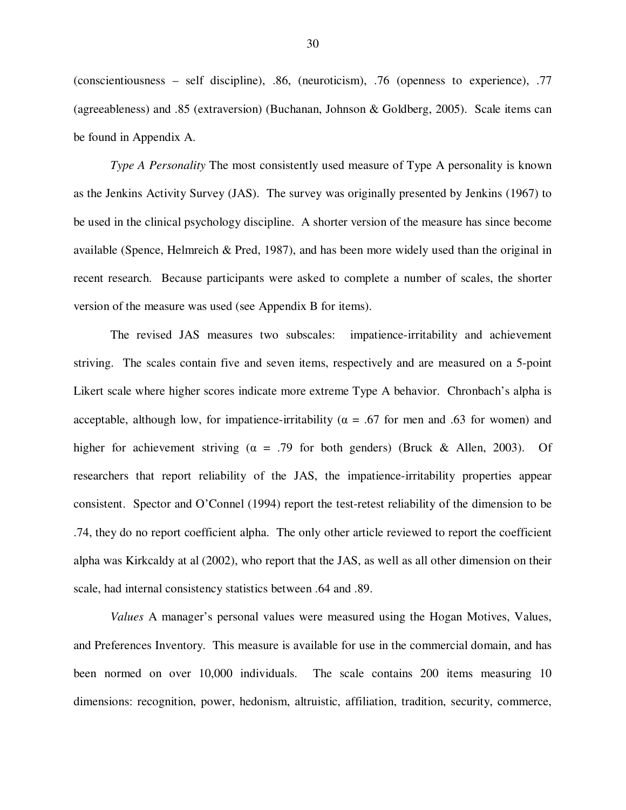(conscientiousness – self discipline), .86, (neuroticism), .76 (openness to experience), .77 (agreeableness) and .85 (extraversion) (Buchanan, Johnson & Goldberg, 2005). Scale items can be found in Appendix A.

*Type A Personality* The most consistently used measure of Type A personality is known as the Jenkins Activity Survey (JAS). The survey was originally presented by Jenkins (1967) to be used in the clinical psychology discipline. A shorter version of the measure has since become available (Spence, Helmreich & Pred, 1987), and has been more widely used than the original in recent research. Because participants were asked to complete a number of scales, the shorter version of the measure was used (see Appendix B for items).

The revised JAS measures two subscales: impatience-irritability and achievement striving. The scales contain five and seven items, respectively and are measured on a 5-point Likert scale where higher scores indicate more extreme Type A behavior. Chronbach's alpha is acceptable, although low, for impatience-irritability ( $\alpha$  = .67 for men and .63 for women) and higher for achievement striving ( $\alpha$  = .79 for both genders) (Bruck & Allen, 2003). Of researchers that report reliability of the JAS, the impatience-irritability properties appear consistent. Spector and O'Connel (1994) report the test-retest reliability of the dimension to be .74, they do no report coefficient alpha. The only other article reviewed to report the coefficient alpha was Kirkcaldy at al (2002), who report that the JAS, as well as all other dimension on their scale, had internal consistency statistics between .64 and .89.

 *Values* A manager's personal values were measured using the Hogan Motives, Values, and Preferences Inventory. This measure is available for use in the commercial domain, and has been normed on over 10,000 individuals. The scale contains 200 items measuring 10 dimensions: recognition, power, hedonism, altruistic, affiliation, tradition, security, commerce,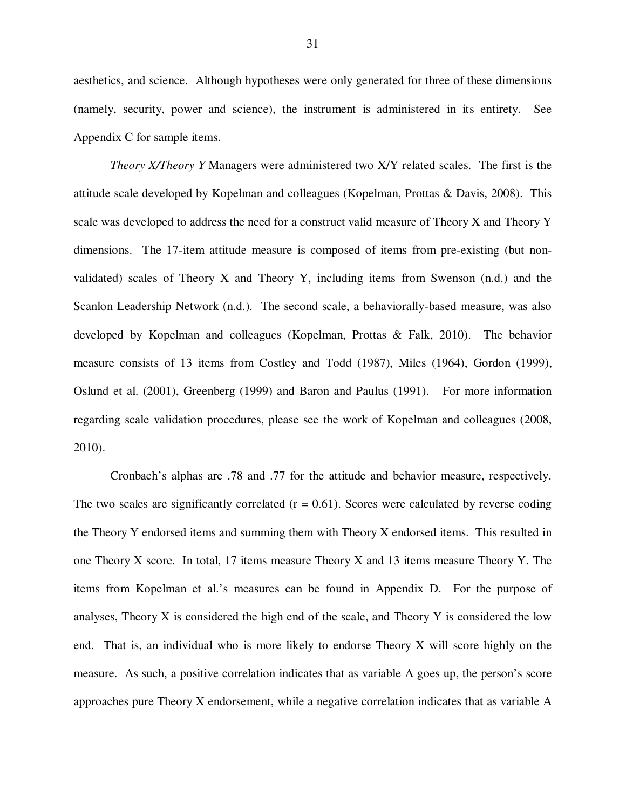aesthetics, and science. Although hypotheses were only generated for three of these dimensions (namely, security, power and science), the instrument is administered in its entirety. See Appendix C for sample items.

*Theory X/Theory Y* Managers were administered two X/Y related scales. The first is the attitude scale developed by Kopelman and colleagues (Kopelman, Prottas & Davis, 2008). This scale was developed to address the need for a construct valid measure of Theory X and Theory Y dimensions. The 17-item attitude measure is composed of items from pre-existing (but nonvalidated) scales of Theory X and Theory Y, including items from Swenson (n.d.) and the Scanlon Leadership Network (n.d.). The second scale, a behaviorally-based measure, was also developed by Kopelman and colleagues (Kopelman, Prottas & Falk, 2010). The behavior measure consists of 13 items from Costley and Todd (1987), Miles (1964), Gordon (1999), Oslund et al. (2001), Greenberg (1999) and Baron and Paulus (1991). For more information regarding scale validation procedures, please see the work of Kopelman and colleagues (2008, 2010).

Cronbach's alphas are .78 and .77 for the attitude and behavior measure, respectively. The two scales are significantly correlated  $(r = 0.61)$ . Scores were calculated by reverse coding the Theory Y endorsed items and summing them with Theory X endorsed items. This resulted in one Theory X score. In total, 17 items measure Theory X and 13 items measure Theory Y. The items from Kopelman et al.'s measures can be found in Appendix D. For the purpose of analyses, Theory X is considered the high end of the scale, and Theory Y is considered the low end. That is, an individual who is more likely to endorse Theory X will score highly on the measure. As such, a positive correlation indicates that as variable A goes up, the person's score approaches pure Theory X endorsement, while a negative correlation indicates that as variable A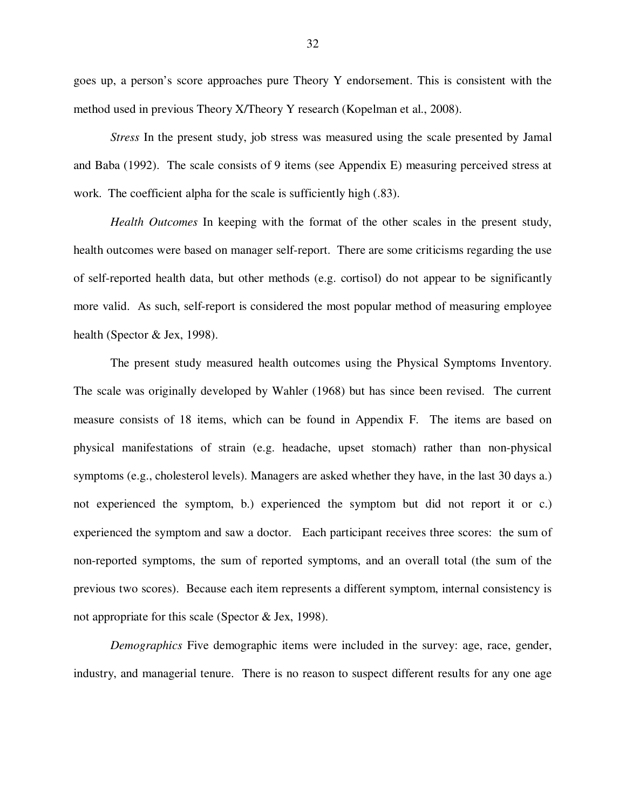goes up, a person's score approaches pure Theory Y endorsement. This is consistent with the method used in previous Theory X/Theory Y research (Kopelman et al., 2008).

*Stress* In the present study, job stress was measured using the scale presented by Jamal and Baba (1992). The scale consists of 9 items (see Appendix E) measuring perceived stress at work. The coefficient alpha for the scale is sufficiently high  $(.83)$ .

 *Health Outcomes* In keeping with the format of the other scales in the present study, health outcomes were based on manager self-report. There are some criticisms regarding the use of self-reported health data, but other methods (e.g. cortisol) do not appear to be significantly more valid. As such, self-report is considered the most popular method of measuring employee health (Spector & Jex, 1998).

 The present study measured health outcomes using the Physical Symptoms Inventory. The scale was originally developed by Wahler (1968) but has since been revised. The current measure consists of 18 items, which can be found in Appendix F. The items are based on physical manifestations of strain (e.g. headache, upset stomach) rather than non-physical symptoms (e.g., cholesterol levels). Managers are asked whether they have, in the last 30 days a.) not experienced the symptom, b.) experienced the symptom but did not report it or c.) experienced the symptom and saw a doctor. Each participant receives three scores: the sum of non-reported symptoms, the sum of reported symptoms, and an overall total (the sum of the previous two scores). Because each item represents a different symptom, internal consistency is not appropriate for this scale (Spector & Jex, 1998).

*Demographics* Five demographic items were included in the survey: age, race, gender, industry, and managerial tenure. There is no reason to suspect different results for any one age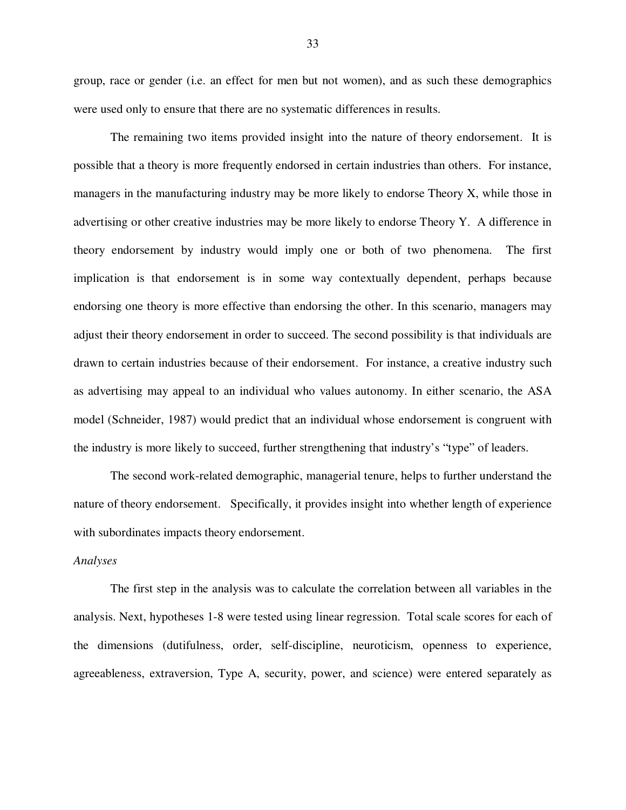group, race or gender (i.e. an effect for men but not women), and as such these demographics were used only to ensure that there are no systematic differences in results.

The remaining two items provided insight into the nature of theory endorsement. It is possible that a theory is more frequently endorsed in certain industries than others. For instance, managers in the manufacturing industry may be more likely to endorse Theory X, while those in advertising or other creative industries may be more likely to endorse Theory Y. A difference in theory endorsement by industry would imply one or both of two phenomena. The first implication is that endorsement is in some way contextually dependent, perhaps because endorsing one theory is more effective than endorsing the other. In this scenario, managers may adjust their theory endorsement in order to succeed. The second possibility is that individuals are drawn to certain industries because of their endorsement. For instance, a creative industry such as advertising may appeal to an individual who values autonomy. In either scenario, the ASA model (Schneider, 1987) would predict that an individual whose endorsement is congruent with the industry is more likely to succeed, further strengthening that industry's "type" of leaders.

The second work-related demographic, managerial tenure, helps to further understand the nature of theory endorsement. Specifically, it provides insight into whether length of experience with subordinates impacts theory endorsement.

#### *Analyses*

 The first step in the analysis was to calculate the correlation between all variables in the analysis. Next, hypotheses 1-8 were tested using linear regression. Total scale scores for each of the dimensions (dutifulness, order, self-discipline, neuroticism, openness to experience, agreeableness, extraversion, Type A, security, power, and science) were entered separately as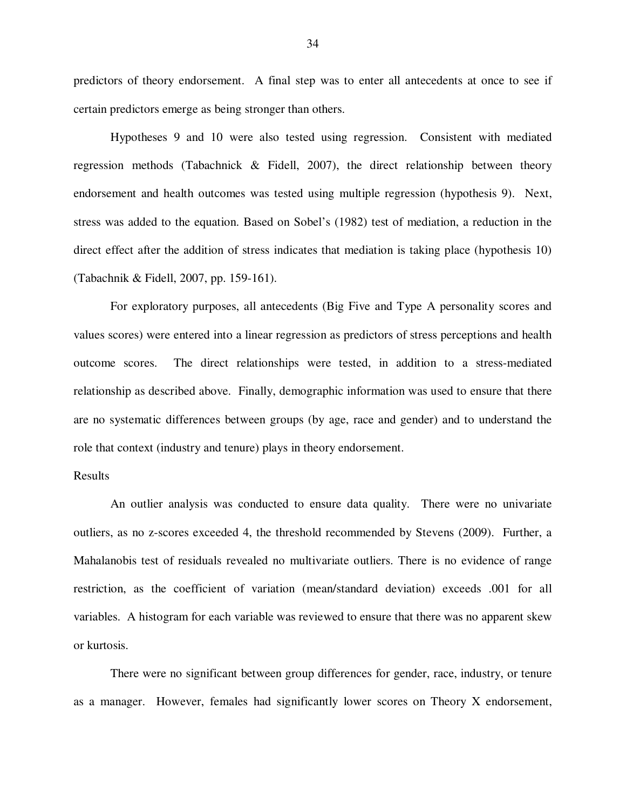predictors of theory endorsement. A final step was to enter all antecedents at once to see if certain predictors emerge as being stronger than others.

 Hypotheses 9 and 10 were also tested using regression. Consistent with mediated regression methods (Tabachnick & Fidell, 2007), the direct relationship between theory endorsement and health outcomes was tested using multiple regression (hypothesis 9). Next, stress was added to the equation. Based on Sobel's (1982) test of mediation, a reduction in the direct effect after the addition of stress indicates that mediation is taking place (hypothesis 10) (Tabachnik & Fidell, 2007, pp. 159-161).

 For exploratory purposes, all antecedents (Big Five and Type A personality scores and values scores) were entered into a linear regression as predictors of stress perceptions and health outcome scores. The direct relationships were tested, in addition to a stress-mediated relationship as described above. Finally, demographic information was used to ensure that there are no systematic differences between groups (by age, race and gender) and to understand the role that context (industry and tenure) plays in theory endorsement.

#### Results

An outlier analysis was conducted to ensure data quality. There were no univariate outliers, as no z-scores exceeded 4, the threshold recommended by Stevens (2009). Further, a Mahalanobis test of residuals revealed no multivariate outliers. There is no evidence of range restriction, as the coefficient of variation (mean/standard deviation) exceeds .001 for all variables. A histogram for each variable was reviewed to ensure that there was no apparent skew or kurtosis.

There were no significant between group differences for gender, race, industry, or tenure as a manager. However, females had significantly lower scores on Theory X endorsement,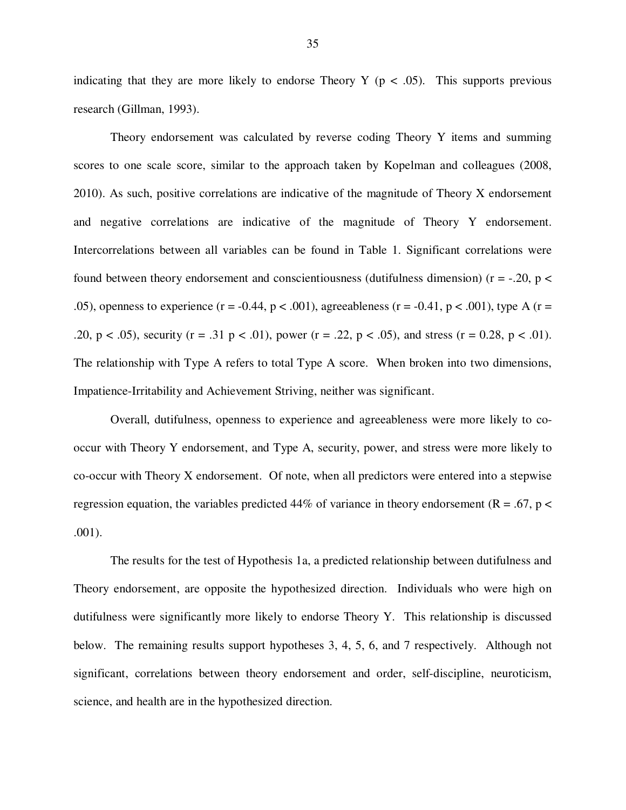indicating that they are more likely to endorse Theory Y ( $p < .05$ ). This supports previous research (Gillman, 1993).

Theory endorsement was calculated by reverse coding Theory Y items and summing scores to one scale score, similar to the approach taken by Kopelman and colleagues (2008, 2010). As such, positive correlations are indicative of the magnitude of Theory X endorsement and negative correlations are indicative of the magnitude of Theory Y endorsement. Intercorrelations between all variables can be found in Table 1. Significant correlations were found between theory endorsement and conscientiousness (dutifulness dimension) ( $r = -.20$ ,  $p <$ .05), openness to experience (r = -0.44, p < .001), agreeableness (r = -0.41, p < .001), type A (r = .20, p < .05), security (r = .31 p < .01), power (r = .22, p < .05), and stress (r = 0.28, p < .01). The relationship with Type A refers to total Type A score. When broken into two dimensions, Impatience-Irritability and Achievement Striving, neither was significant.

Overall, dutifulness, openness to experience and agreeableness were more likely to cooccur with Theory Y endorsement, and Type A, security, power, and stress were more likely to co-occur with Theory X endorsement. Of note, when all predictors were entered into a stepwise regression equation, the variables predicted 44% of variance in theory endorsement ( $R = .67$ ,  $p <$ .001).

The results for the test of Hypothesis 1a, a predicted relationship between dutifulness and Theory endorsement, are opposite the hypothesized direction. Individuals who were high on dutifulness were significantly more likely to endorse Theory Y. This relationship is discussed below. The remaining results support hypotheses 3, 4, 5, 6, and 7 respectively. Although not significant, correlations between theory endorsement and order, self-discipline, neuroticism, science, and health are in the hypothesized direction.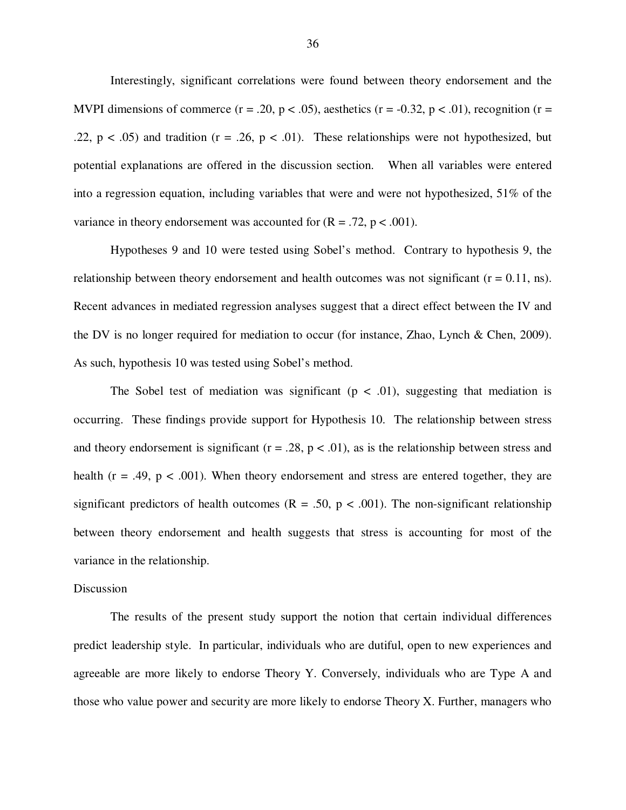Interestingly, significant correlations were found between theory endorsement and the MVPI dimensions of commerce ( $r = .20$ ,  $p < .05$ ), aesthetics ( $r = -0.32$ ,  $p < .01$ ), recognition ( $r =$ .22, p < .05) and tradition (r = .26, p < .01). These relationships were not hypothesized, but potential explanations are offered in the discussion section. When all variables were entered into a regression equation, including variables that were and were not hypothesized, 51% of the variance in theory endorsement was accounted for  $(R = .72, p < .001)$ .

 Hypotheses 9 and 10 were tested using Sobel's method. Contrary to hypothesis 9, the relationship between theory endorsement and health outcomes was not significant  $(r = 0.11, ns)$ . Recent advances in mediated regression analyses suggest that a direct effect between the IV and the DV is no longer required for mediation to occur (for instance, Zhao, Lynch & Chen, 2009). As such, hypothesis 10 was tested using Sobel's method.

The Sobel test of mediation was significant ( $p < .01$ ), suggesting that mediation is occurring. These findings provide support for Hypothesis 10. The relationship between stress and theory endorsement is significant ( $r = .28$ ,  $p < .01$ ), as is the relationship between stress and health ( $r = .49$ ,  $p < .001$ ). When theory endorsement and stress are entered together, they are significant predictors of health outcomes ( $R = .50$ ,  $p < .001$ ). The non-significant relationship between theory endorsement and health suggests that stress is accounting for most of the variance in the relationship.

#### Discussion

 The results of the present study support the notion that certain individual differences predict leadership style. In particular, individuals who are dutiful, open to new experiences and agreeable are more likely to endorse Theory Y. Conversely, individuals who are Type A and those who value power and security are more likely to endorse Theory X. Further, managers who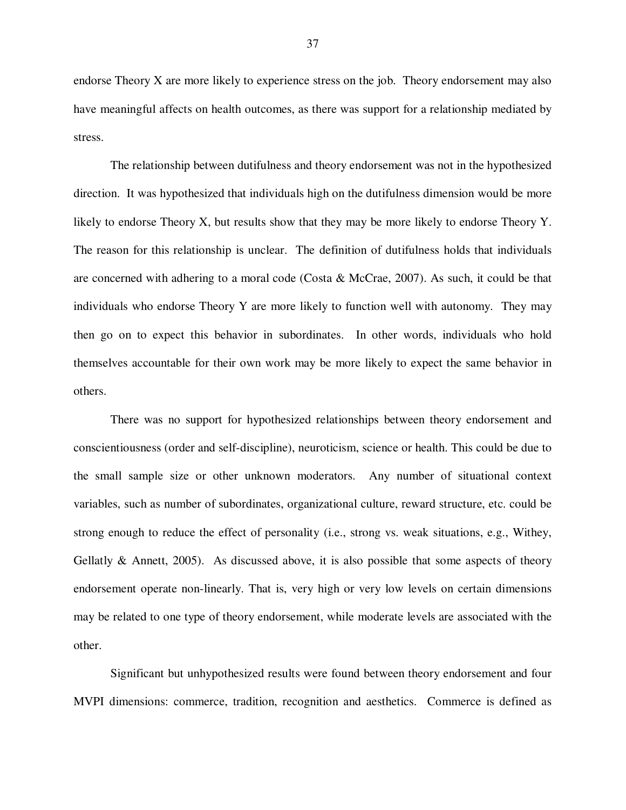endorse Theory X are more likely to experience stress on the job. Theory endorsement may also have meaningful affects on health outcomes, as there was support for a relationship mediated by stress.

 The relationship between dutifulness and theory endorsement was not in the hypothesized direction. It was hypothesized that individuals high on the dutifulness dimension would be more likely to endorse Theory X, but results show that they may be more likely to endorse Theory Y. The reason for this relationship is unclear. The definition of dutifulness holds that individuals are concerned with adhering to a moral code (Costa & McCrae, 2007). As such, it could be that individuals who endorse Theory Y are more likely to function well with autonomy. They may then go on to expect this behavior in subordinates. In other words, individuals who hold themselves accountable for their own work may be more likely to expect the same behavior in others.

 There was no support for hypothesized relationships between theory endorsement and conscientiousness (order and self-discipline), neuroticism, science or health. This could be due to the small sample size or other unknown moderators. Any number of situational context variables, such as number of subordinates, organizational culture, reward structure, etc. could be strong enough to reduce the effect of personality (i.e., strong vs. weak situations, e.g., Withey, Gellatly  $\&$  Annett, 2005). As discussed above, it is also possible that some aspects of theory endorsement operate non-linearly. That is, very high or very low levels on certain dimensions may be related to one type of theory endorsement, while moderate levels are associated with the other.

Significant but unhypothesized results were found between theory endorsement and four MVPI dimensions: commerce, tradition, recognition and aesthetics. Commerce is defined as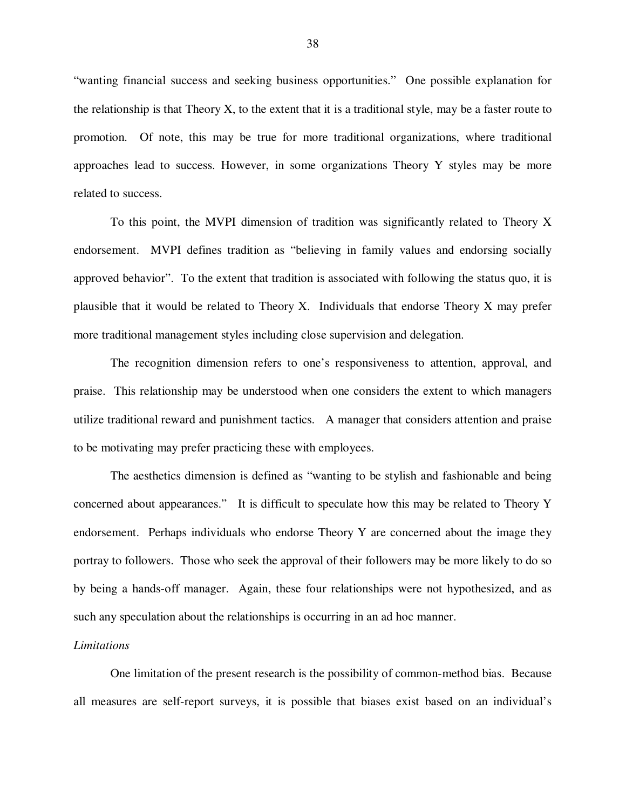"wanting financial success and seeking business opportunities." One possible explanation for the relationship is that Theory  $X$ , to the extent that it is a traditional style, may be a faster route to promotion. Of note, this may be true for more traditional organizations, where traditional approaches lead to success. However, in some organizations Theory Y styles may be more related to success.

To this point, the MVPI dimension of tradition was significantly related to Theory X endorsement. MVPI defines tradition as "believing in family values and endorsing socially approved behavior". To the extent that tradition is associated with following the status quo, it is plausible that it would be related to Theory X. Individuals that endorse Theory X may prefer more traditional management styles including close supervision and delegation.

The recognition dimension refers to one's responsiveness to attention, approval, and praise. This relationship may be understood when one considers the extent to which managers utilize traditional reward and punishment tactics. A manager that considers attention and praise to be motivating may prefer practicing these with employees.

The aesthetics dimension is defined as "wanting to be stylish and fashionable and being concerned about appearances." It is difficult to speculate how this may be related to Theory Y endorsement. Perhaps individuals who endorse Theory Y are concerned about the image they portray to followers. Those who seek the approval of their followers may be more likely to do so by being a hands-off manager. Again, these four relationships were not hypothesized, and as such any speculation about the relationships is occurring in an ad hoc manner.

#### *Limitations*

 One limitation of the present research is the possibility of common-method bias. Because all measures are self-report surveys, it is possible that biases exist based on an individual's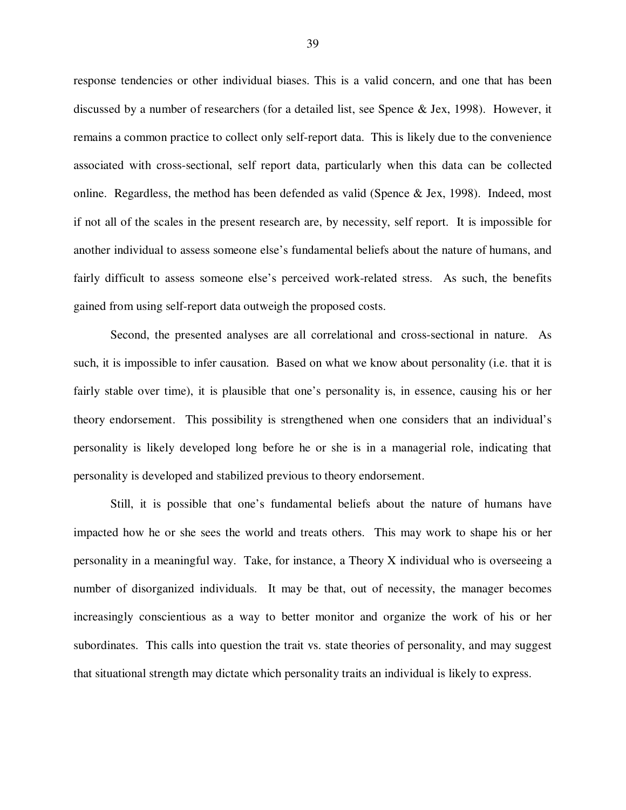response tendencies or other individual biases. This is a valid concern, and one that has been discussed by a number of researchers (for a detailed list, see Spence & Jex, 1998). However, it remains a common practice to collect only self-report data. This is likely due to the convenience associated with cross-sectional, self report data, particularly when this data can be collected online. Regardless, the method has been defended as valid (Spence  $\&$  Jex, 1998). Indeed, most if not all of the scales in the present research are, by necessity, self report. It is impossible for another individual to assess someone else's fundamental beliefs about the nature of humans, and fairly difficult to assess someone else's perceived work-related stress. As such, the benefits gained from using self-report data outweigh the proposed costs.

 Second, the presented analyses are all correlational and cross-sectional in nature. As such, it is impossible to infer causation. Based on what we know about personality (i.e. that it is fairly stable over time), it is plausible that one's personality is, in essence, causing his or her theory endorsement. This possibility is strengthened when one considers that an individual's personality is likely developed long before he or she is in a managerial role, indicating that personality is developed and stabilized previous to theory endorsement.

Still, it is possible that one's fundamental beliefs about the nature of humans have impacted how he or she sees the world and treats others. This may work to shape his or her personality in a meaningful way. Take, for instance, a Theory X individual who is overseeing a number of disorganized individuals. It may be that, out of necessity, the manager becomes increasingly conscientious as a way to better monitor and organize the work of his or her subordinates. This calls into question the trait vs. state theories of personality, and may suggest that situational strength may dictate which personality traits an individual is likely to express.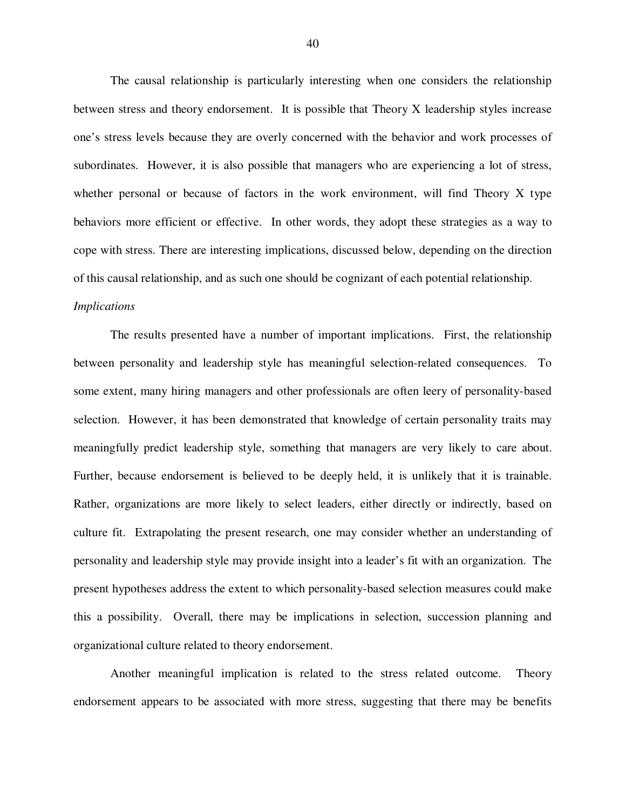The causal relationship is particularly interesting when one considers the relationship between stress and theory endorsement. It is possible that Theory X leadership styles increase one's stress levels because they are overly concerned with the behavior and work processes of subordinates. However, it is also possible that managers who are experiencing a lot of stress, whether personal or because of factors in the work environment, will find Theory X type behaviors more efficient or effective. In other words, they adopt these strategies as a way to cope with stress. There are interesting implications, discussed below, depending on the direction of this causal relationship, and as such one should be cognizant of each potential relationship.

#### *Implications*

 The results presented have a number of important implications. First, the relationship between personality and leadership style has meaningful selection-related consequences. To some extent, many hiring managers and other professionals are often leery of personality-based selection. However, it has been demonstrated that knowledge of certain personality traits may meaningfully predict leadership style, something that managers are very likely to care about. Further, because endorsement is believed to be deeply held, it is unlikely that it is trainable. Rather, organizations are more likely to select leaders, either directly or indirectly, based on culture fit. Extrapolating the present research, one may consider whether an understanding of personality and leadership style may provide insight into a leader's fit with an organization. The present hypotheses address the extent to which personality-based selection measures could make this a possibility. Overall, there may be implications in selection, succession planning and organizational culture related to theory endorsement.

Another meaningful implication is related to the stress related outcome. Theory endorsement appears to be associated with more stress, suggesting that there may be benefits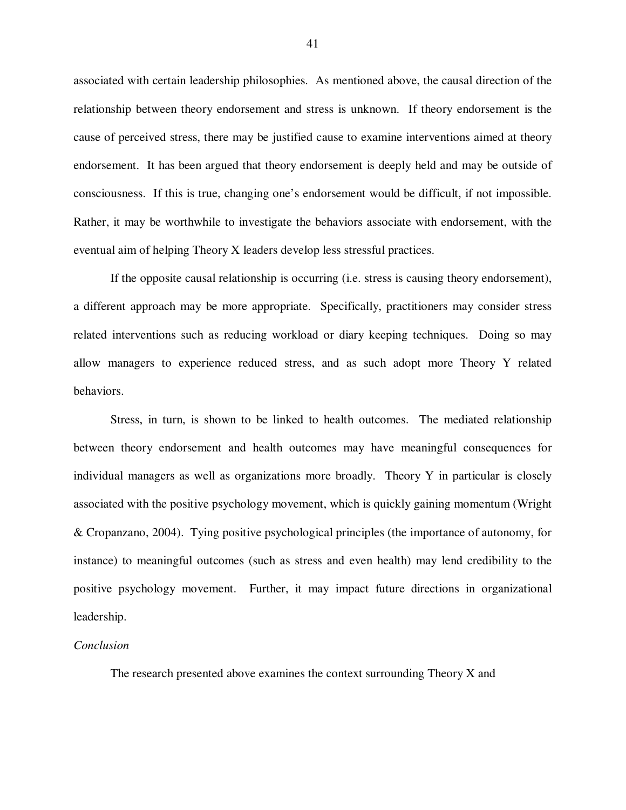associated with certain leadership philosophies. As mentioned above, the causal direction of the relationship between theory endorsement and stress is unknown. If theory endorsement is the cause of perceived stress, there may be justified cause to examine interventions aimed at theory endorsement. It has been argued that theory endorsement is deeply held and may be outside of consciousness. If this is true, changing one's endorsement would be difficult, if not impossible. Rather, it may be worthwhile to investigate the behaviors associate with endorsement, with the eventual aim of helping Theory X leaders develop less stressful practices.

If the opposite causal relationship is occurring (i.e. stress is causing theory endorsement), a different approach may be more appropriate. Specifically, practitioners may consider stress related interventions such as reducing workload or diary keeping techniques. Doing so may allow managers to experience reduced stress, and as such adopt more Theory Y related behaviors.

Stress, in turn, is shown to be linked to health outcomes. The mediated relationship between theory endorsement and health outcomes may have meaningful consequences for individual managers as well as organizations more broadly. Theory Y in particular is closely associated with the positive psychology movement, which is quickly gaining momentum (Wright & Cropanzano, 2004). Tying positive psychological principles (the importance of autonomy, for instance) to meaningful outcomes (such as stress and even health) may lend credibility to the positive psychology movement. Further, it may impact future directions in organizational leadership.

#### *Conclusion*

The research presented above examines the context surrounding Theory X and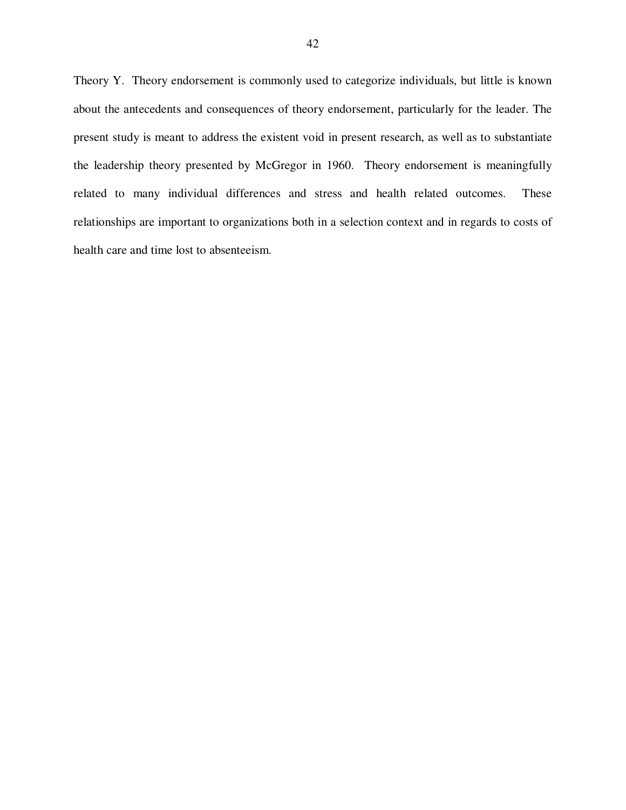Theory Y. Theory endorsement is commonly used to categorize individuals, but little is known about the antecedents and consequences of theory endorsement, particularly for the leader. The present study is meant to address the existent void in present research, as well as to substantiate the leadership theory presented by McGregor in 1960. Theory endorsement is meaningfully related to many individual differences and stress and health related outcomes. These relationships are important to organizations both in a selection context and in regards to costs of health care and time lost to absenteeism.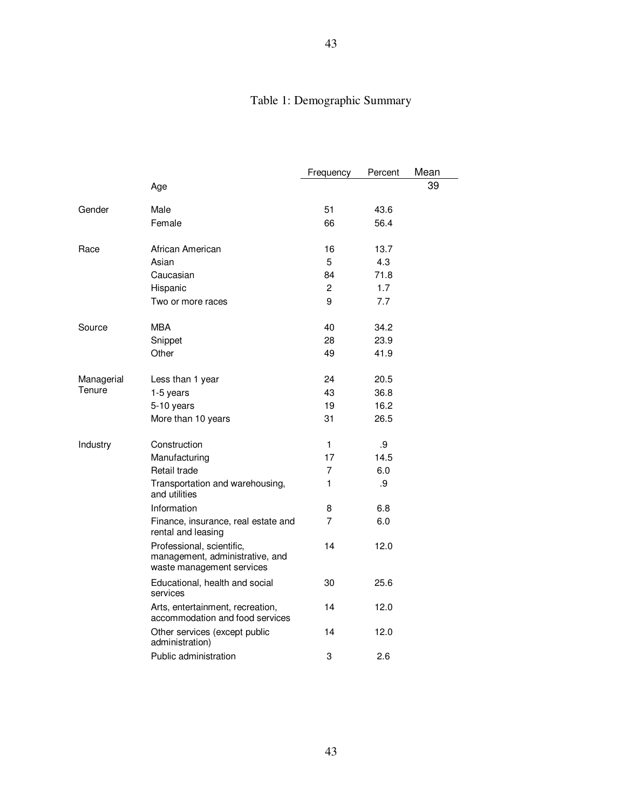# Table 1: Demographic Summary

|            |                                                                                           | Frequency | Percent | Mean |
|------------|-------------------------------------------------------------------------------------------|-----------|---------|------|
|            | Age                                                                                       |           |         | 39   |
| Gender     | Male                                                                                      | 51        | 43.6    |      |
|            | Female                                                                                    | 66        | 56.4    |      |
| Race       | African American                                                                          | 16        | 13.7    |      |
|            | Asian                                                                                     | 5         | 4.3     |      |
|            | Caucasian                                                                                 | 84        | 71.8    |      |
|            | Hispanic                                                                                  | 2         | 1.7     |      |
|            | Two or more races                                                                         | 9         | 7.7     |      |
| Source     | MBA                                                                                       | 40        | 34.2    |      |
|            | Snippet                                                                                   | 28        | 23.9    |      |
|            | Other                                                                                     | 49        | 41.9    |      |
| Managerial | Less than 1 year                                                                          | 24        | 20.5    |      |
| Tenure     | 1-5 years                                                                                 | 43        | 36.8    |      |
|            | 5-10 years                                                                                | 19        | 16.2    |      |
|            | More than 10 years                                                                        | 31        | 26.5    |      |
| Industry   | Construction                                                                              | 1         | .9      |      |
|            | Manufacturing                                                                             | 17        | 14.5    |      |
|            | Retail trade                                                                              | 7         | 6.0     |      |
|            | Transportation and warehousing,<br>and utilities                                          | 1         | .9      |      |
|            | Information                                                                               | 8         | 6.8     |      |
|            | Finance, insurance, real estate and<br>rental and leasing                                 | 7         | 6.0     |      |
|            | Professional, scientific,<br>management, administrative, and<br>waste management services | 14        | 12.0    |      |
|            | Educational, health and social<br>services                                                | 30        | 25.6    |      |
|            | Arts, entertainment, recreation,<br>accommodation and food services                       | 14        | 12.0    |      |
|            | Other services (except public<br>administration)                                          | 14        | 12.0    |      |
|            | Public administration                                                                     | 3         | 2.6     |      |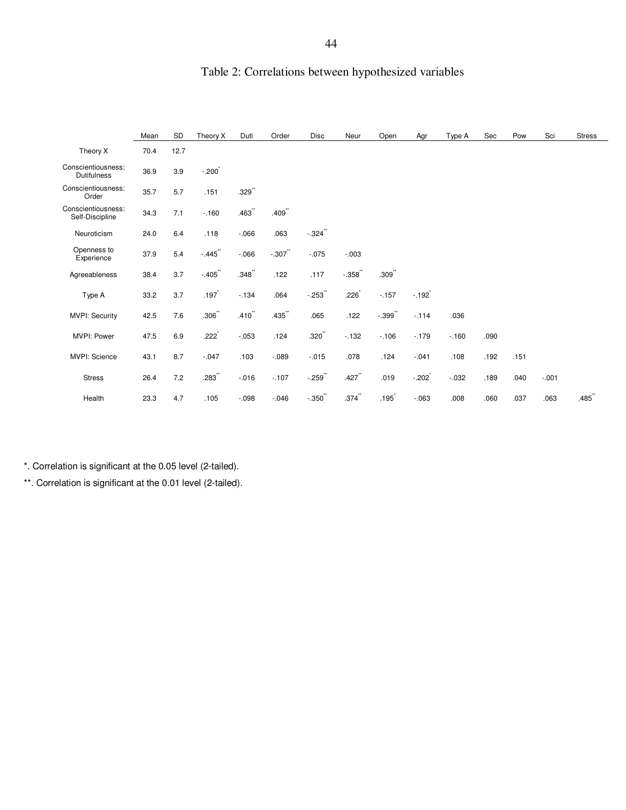## Table 2: Correlations between hypothesized variables

|                                          | Mean | SD   | Theory X  | Duti                 | Order                | Disc      | Neur                 | Open     | Agr     | Type A   | Sec  | Pow  | Sci     | <b>Stress</b> |
|------------------------------------------|------|------|-----------|----------------------|----------------------|-----------|----------------------|----------|---------|----------|------|------|---------|---------------|
| Theory X                                 | 70.4 | 12.7 |           |                      |                      |           |                      |          |         |          |      |      |         |               |
| Conscientiousness:<br><b>Dutifulness</b> | 36.9 | 3.9  | $-.200$   |                      |                      |           |                      |          |         |          |      |      |         |               |
| Conscientiousness:<br>Order              | 35.7 | 5.7  | .151      | $.329$ <sup>**</sup> |                      |           |                      |          |         |          |      |      |         |               |
| Conscientiousness:<br>Self-Discipline    | 34.3 | 7.1  | $-160$    | $.463$ "             | $.409$ <sup>**</sup> |           |                      |          |         |          |      |      |         |               |
| Neuroticism                              | 24.0 | 6.4  | .118      | $-066$               | .063                 | $-.324$ " |                      |          |         |          |      |      |         |               |
| Openness to<br>Experience                | 37.9 | 5.4  | $-445$    | $-066$               | $-.307$              | $-.075$   | $-.003$              |          |         |          |      |      |         |               |
| Agreeableness                            | 38.4 | 3.7  | $-.405$ * | $.348$ "             | .122                 | .117      | $-.358$              | $.309$ " |         |          |      |      |         |               |
| Type A                                   | 33.2 | 3.7  | .197      | $-134$               | .064                 | $-.253$   | .226                 | $-157$   | $-.192$ |          |      |      |         |               |
| <b>MVPI: Security</b>                    | 42.5 | 7.6  | $.306$ "  | $.410^{44}$          | $.435$ "             | .065      | .122                 | $-0.399$ | $-114$  | .036     |      |      |         |               |
| MVPI: Power                              | 47.5 | 6.9  | .222      | $-0.053$             | .124                 | $.320$ "  | $-132$               | $-106$   | $-179$  | $-160$   | .090 |      |         |               |
| <b>MVPI: Science</b>                     | 43.1 | 8.7  | $-0.047$  | .103                 | $-0.089$             | $-0.015$  | .078                 | .124     | $-041$  | .108     | .192 | .151 |         |               |
| <b>Stress</b>                            | 26.4 | 7.2  | $.283$ "  | $-0.016$             | $-.107$              | $-0.259$  | .427                 | .019     | $-.202$ | $-0.032$ | .189 | .040 | $-0.01$ |               |
| Health                                   | 23.3 | 4.7  | .105      | $-0.98$              | $-0.046$             | $-.350$   | $.374$ <sup>**</sup> | .195     | $-063$  | .008     | .060 | .037 | .063    | .485          |

\*. Correlation is significant at the 0.05 level (2-tailed).

\*\*. Correlation is significant at the 0.01 level (2-tailed).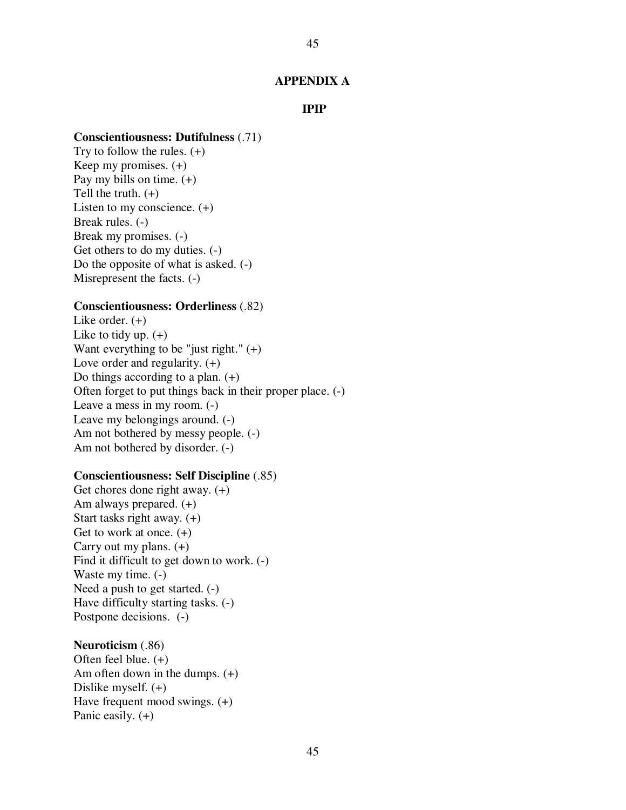#### **APPENDIX A**

#### **IPIP**

## **Conscientiousness: Dutifulness** (.71)

Try to follow the rules.  $(+)$ Keep my promises. (+) Pay my bills on time.  $(+)$ Tell the truth.  $(+)$ Listen to my conscience. (+) Break rules. (-) Break my promises. (-) Get others to do my duties. (-) Do the opposite of what is asked. (-) Misrepresent the facts. (-)

## **Conscientiousness: Orderliness** (.82)

Like order.  $(+)$ Like to tidy up.  $(+)$ Want everything to be "just right."  $(+)$ Love order and regularity. (+) Do things according to a plan. (+) Often forget to put things back in their proper place. (-) Leave a mess in my room. (-) Leave my belongings around. (-) Am not bothered by messy people. (-) Am not bothered by disorder. (-)

#### **Conscientiousness: Self Discipline** (.85)

Get chores done right away.  $(+)$ Am always prepared. (+) Start tasks right away. (+) Get to work at once.  $(+)$ Carry out my plans.  $(+)$ Find it difficult to get down to work. (-) Waste my time. (-) Need a push to get started. (-) Have difficulty starting tasks. (-) Postpone decisions. (-)

#### **Neuroticism** (.86)

Often feel blue. (+) Am often down in the dumps. (+) Dislike myself. (+) Have frequent mood swings. (+) Panic easily. (+)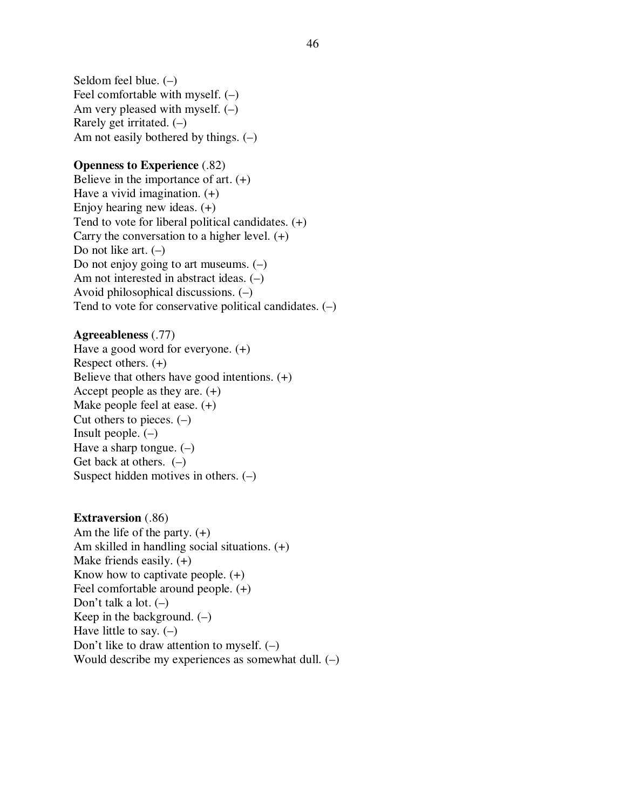Seldom feel blue. (–) Feel comfortable with myself.  $(-)$ Am very pleased with myself.  $(-)$ Rarely get irritated.  $(-)$ Am not easily bothered by things. (–)

## **Openness to Experience** (.82)

Believe in the importance of art.  $(+)$ Have a vivid imagination. (+) Enjoy hearing new ideas. (+) Tend to vote for liberal political candidates. (+) Carry the conversation to a higher level.  $(+)$ Do not like art.  $(-)$ Do not enjoy going to art museums.  $(-)$ Am not interested in abstract ideas. (–) Avoid philosophical discussions. (–) Tend to vote for conservative political candidates. (–)

## **Agreeableness** (.77)

Have a good word for everyone. (+) Respect others. (+) Believe that others have good intentions. (+) Accept people as they are. (+) Make people feel at ease. (+) Cut others to pieces.  $(-)$ Insult people.  $(-)$ Have a sharp tongue.  $(-)$ Get back at others.  $(-)$ Suspect hidden motives in others.  $(-)$ 

## **Extraversion** (.86)

Am the life of the party.  $(+)$ Am skilled in handling social situations. (+) Make friends easily. (+) Know how to captivate people. (+) Feel comfortable around people. (+) Don't talk a lot.  $(-)$ Keep in the background.  $(-)$ Have little to say.  $(-)$ Don't like to draw attention to myself.  $(-)$ Would describe my experiences as somewhat dull. (-)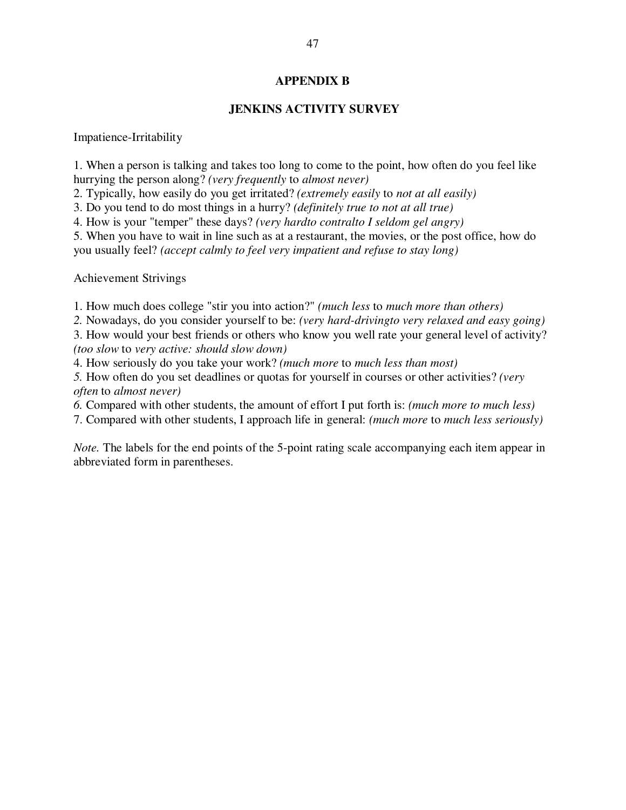## **APPENDIX B**

## **JENKINS ACTIVITY SURVEY**

Impatience-Irritability

1. When a person is talking and takes too long to come to the point, how often do you feel like hurrying the person along? *(very frequently* to *almost never)* 

2. Typically, how easily do you get irritated? *(extremely easily* to *not at all easily)* 

3. Do you tend to do most things in a hurry? *(definitely true to not at all true)* 

4. How is your "temper" these days? *(very hardto contralto I seldom gel angry)* 

5. When you have to wait in line such as at a restaurant, the movies, or the post office, how do you usually feel? *(accept calmly to feel very impatient and refuse to stay long)* 

Achievement Strivings

1. How much does college "stir you into action?" *(much less* to *much more than others)* 

*2.* Nowadays, do you consider yourself to be: *(very hard-drivingto very relaxed and easy going)*  3. How would your best friends or others who know you well rate your general level of activity? *(too slow* to *very active: should slow down)* 

4. How seriously do you take your work? *(much more* to *much less than most)* 

*5.* How often do you set deadlines or quotas for yourself in courses or other activities? *(very often* to *almost never)* 

*6.* Compared with other students, the amount of effort I put forth is: *(much more to much less)* 

7. Compared with other students, I approach life in general: *(much more* to *much less seriously)* 

*Note.* The labels for the end points of the 5-point rating scale accompanying each item appear in abbreviated form in parentheses.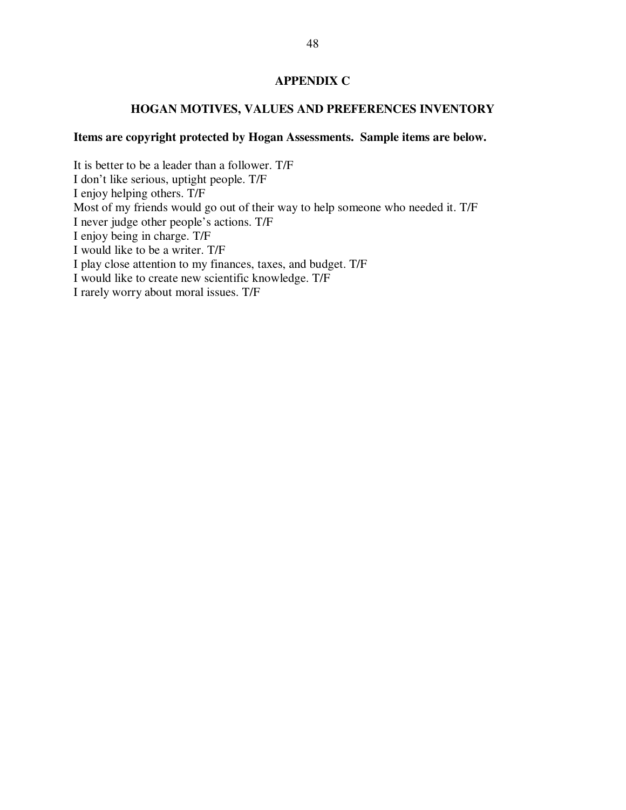## **APPENDIX C**

## **HOGAN MOTIVES, VALUES AND PREFERENCES INVENTORY**

## **Items are copyright protected by Hogan Assessments. Sample items are below.**

It is better to be a leader than a follower. T/F I don't like serious, uptight people. T/F I enjoy helping others. T/F Most of my friends would go out of their way to help someone who needed it. T/F I never judge other people's actions. T/F I enjoy being in charge. T/F I would like to be a writer. T/F I play close attention to my finances, taxes, and budget. T/F I would like to create new scientific knowledge. T/F I rarely worry about moral issues. T/F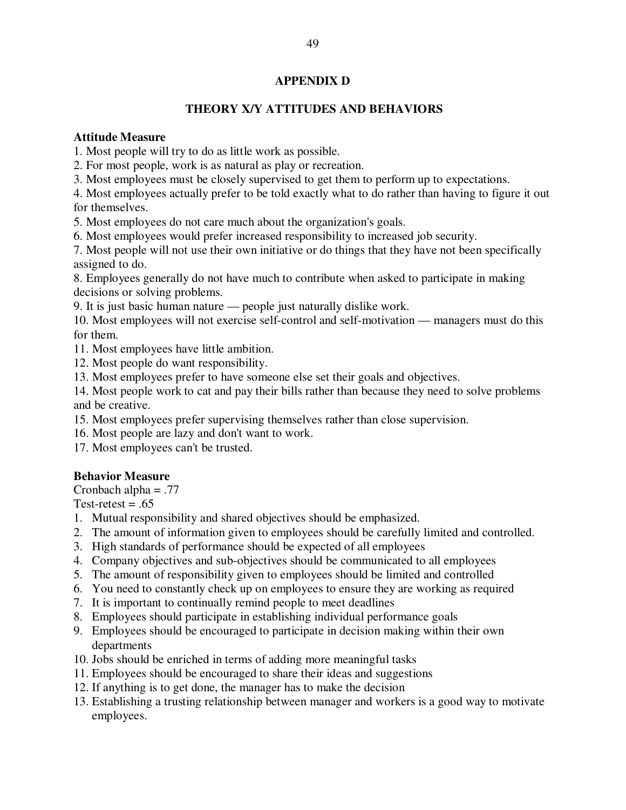## **APPENDIX D**

## **THEORY X/Y ATTITUDES AND BEHAVIORS**

## **Attitude Measure**

1. Most people will try to do as little work as possible.

2. For most people, work is as natural as play or recreation.

3. Most employees must be closely supervised to get them to perform up to expectations.

4. Most employees actually prefer to be told exactly what to do rather than having to figure it out for themselves.

5. Most employees do not care much about the organization's goals.

6. Most employees would prefer increased responsibility to increased job security.

7. Most people will not use their own initiative or do things that they have not been specifically assigned to do.

8. Employees generally do not have much to contribute when asked to participate in making decisions or solving problems.

9. It is just basic human nature — people just naturally dislike work.

10. Most employees will not exercise self-control and self-motivation — managers must do this for them.

11. Most employees have little ambition.

12. Most people do want responsibility.

13. Most employees prefer to have someone else set their goals and objectives.

14. Most people work to cat and pay their bills rather than because they need to solve problems and be creative.

15. Most employees prefer supervising themselves rather than close supervision.

16. Most people are lazy and don't want to work.

17. Most employees can't be trusted.

## **Behavior Measure**

Cronbach alpha  $= .77$ 

Test-retest =  $.65$ 

- 1. Mutual responsibility and shared objectives should be emphasized.
- 2. The amount of information given to employees should be carefully limited and controlled.
- 3. High standards of performance should be expected of all employees
- 4. Company objectives and sub-objectives should be communicated to all employees
- 5. The amount of responsibility given to employees should be limited and controlled
- 6. You need to constantly check up on employees to ensure they are working as required
- 7. It is important to continually remind people to meet deadlines
- 8. Employees should participate in establishing individual performance goals
- 9. Employees should be encouraged to participate in decision making within their own departments
- 10. Jobs should be enriched in terms of adding more meaningful tasks
- 11. Employees should be encouraged to share their ideas and suggestions
- 12. If anything is to get done, the manager has to make the decision
- 13. Establishing a trusting relationship between manager and workers is a good way to motivate employees.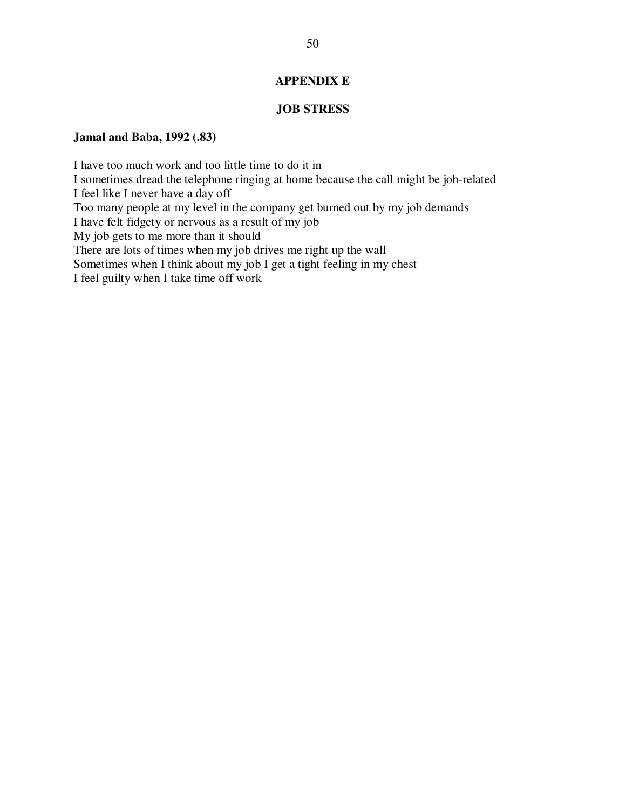## **APPENDIX E**

## **JOB STRESS**

## **Jamal and Baba, 1992 (.83)**

I have too much work and too little time to do it in I sometimes dread the telephone ringing at home because the call might be job-related I feel like I never have a day off Too many people at my level in the company get burned out by my job demands I have felt fidgety or nervous as a result of my job My job gets to me more than it should There are lots of times when my job drives me right up the wall Sometimes when I think about my job I get a tight feeling in my chest I feel guilty when I take time off work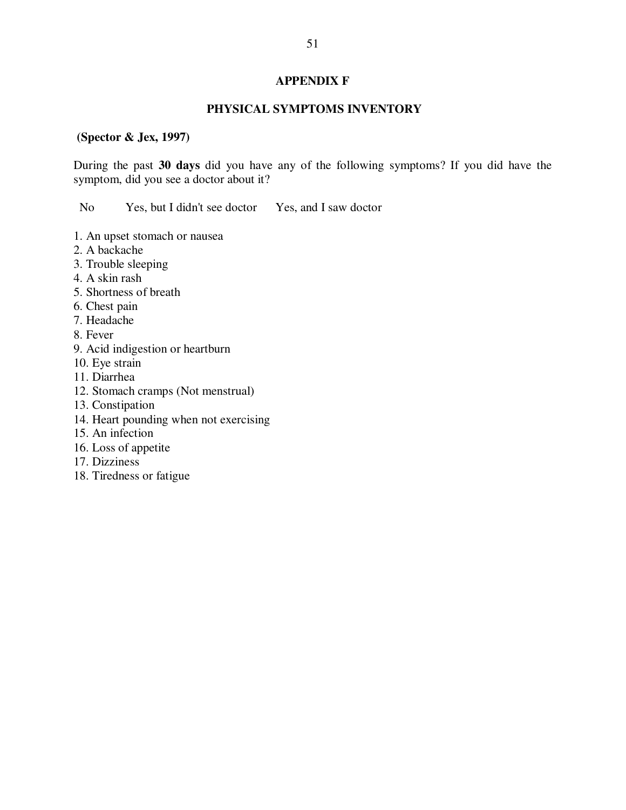## **APPENDIX F**

## **PHYSICAL SYMPTOMS INVENTORY**

## **(Spector & Jex, 1997)**

During the past **30 days** did you have any of the following symptoms? If you did have the symptom, did you see a doctor about it?

No Yes, but I didn't see doctor Yes, and I saw doctor

- 1. An upset stomach or nausea
- 2. A backache
- 3. Trouble sleeping
- 4. A skin rash
- 5. Shortness of breath
- 6. Chest pain
- 7. Headache
- 8. Fever
- 9. Acid indigestion or heartburn
- 10. Eye strain
- 11. Diarrhea
- 12. Stomach cramps (Not menstrual)
- 13. Constipation
- 14. Heart pounding when not exercising
- 15. An infection
- 16. Loss of appetite
- 17. Dizziness
- 18. Tiredness or fatigue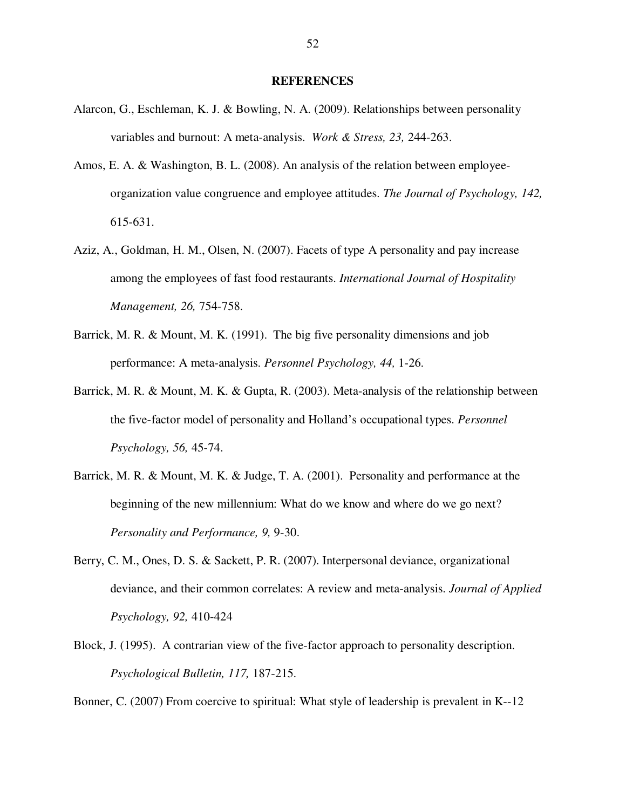#### **REFERENCES**

- Alarcon, G., Eschleman, K. J. & Bowling, N. A. (2009). Relationships between personality variables and burnout: A meta-analysis. *Work & Stress, 23,* 244-263.
- Amos, E. A. & Washington, B. L. (2008). An analysis of the relation between employeeorganization value congruence and employee attitudes. *The Journal of Psychology, 142,*  615-631.
- Aziz, A., Goldman, H. M., Olsen, N. (2007). Facets of type A personality and pay increase among the employees of fast food restaurants. *International Journal of Hospitality Management, 26,* 754-758.
- Barrick, M. R. & Mount, M. K. (1991). The big five personality dimensions and job performance: A meta-analysis. *Personnel Psychology, 44,* 1-26.
- Barrick, M. R. & Mount, M. K. & Gupta, R. (2003). Meta-analysis of the relationship between the five-factor model of personality and Holland's occupational types. *Personnel Psychology, 56,* 45-74.
- Barrick, M. R. & Mount, M. K. & Judge, T. A. (2001). Personality and performance at the beginning of the new millennium: What do we know and where do we go next? *Personality and Performance, 9,* 9-30.
- Berry, C. M., Ones, D. S. & Sackett, P. R. (2007). Interpersonal deviance, organizational deviance, and their common correlates: A review and meta-analysis. *Journal of Applied Psychology, 92,* 410-424
- Block, J. (1995). A contrarian view of the five-factor approach to personality description. *Psychological Bulletin, 117,* 187-215.

Bonner, C. (2007) From coercive to spiritual: What style of leadership is prevalent in K--12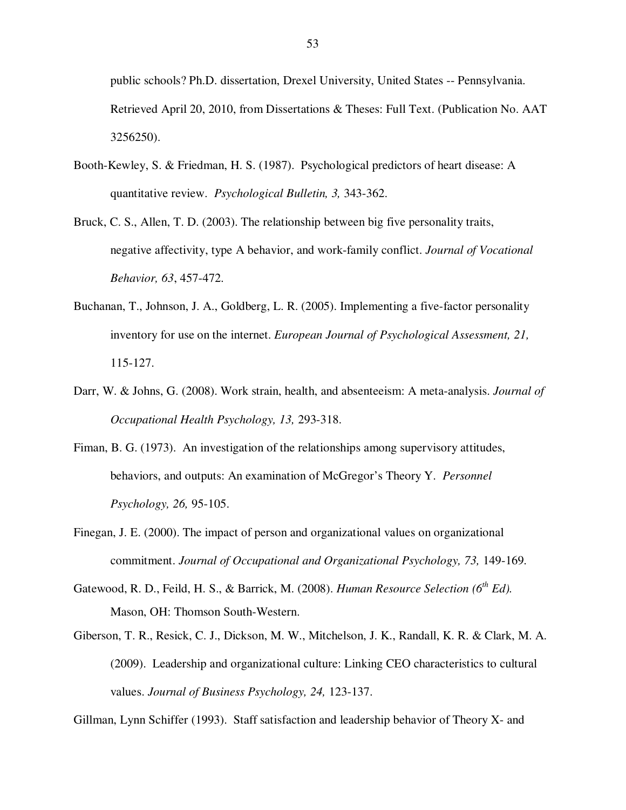public schools? Ph.D. dissertation, Drexel University, United States -- Pennsylvania. Retrieved April 20, 2010, from Dissertations & Theses: Full Text. (Publication No. AAT 3256250).

- Booth-Kewley, S. & Friedman, H. S. (1987). Psychological predictors of heart disease: A quantitative review. *Psychological Bulletin, 3,* 343-362.
- Bruck, C. S., Allen, T. D. (2003). The relationship between big five personality traits, negative affectivity, type A behavior, and work-family conflict. *Journal of Vocational Behavior, 63*, 457-472.
- Buchanan, T., Johnson, J. A., Goldberg, L. R. (2005). Implementing a five-factor personality inventory for use on the internet. *European Journal of Psychological Assessment, 21,*  115-127.
- Darr, W. & Johns, G. (2008). Work strain, health, and absenteeism: A meta-analysis. *Journal of Occupational Health Psychology, 13,* 293-318.
- Fiman, B. G. (1973). An investigation of the relationships among supervisory attitudes, behaviors, and outputs: An examination of McGregor's Theory Y. *Personnel Psychology, 26,* 95-105.
- Finegan, J. E. (2000). The impact of person and organizational values on organizational commitment. *Journal of Occupational and Organizational Psychology, 73, 149-169.*
- Gatewood, R. D., Feild, H. S., & Barrick, M. (2008). *Human Resource Selection (6th Ed).*  Mason, OH: Thomson South-Western.
- Giberson, T. R., Resick, C. J., Dickson, M. W., Mitchelson, J. K., Randall, K. R. & Clark, M. A. (2009). Leadership and organizational culture: Linking CEO characteristics to cultural values. *Journal of Business Psychology, 24,* 123-137.

Gillman, Lynn Schiffer (1993). Staff satisfaction and leadership behavior of Theory X- and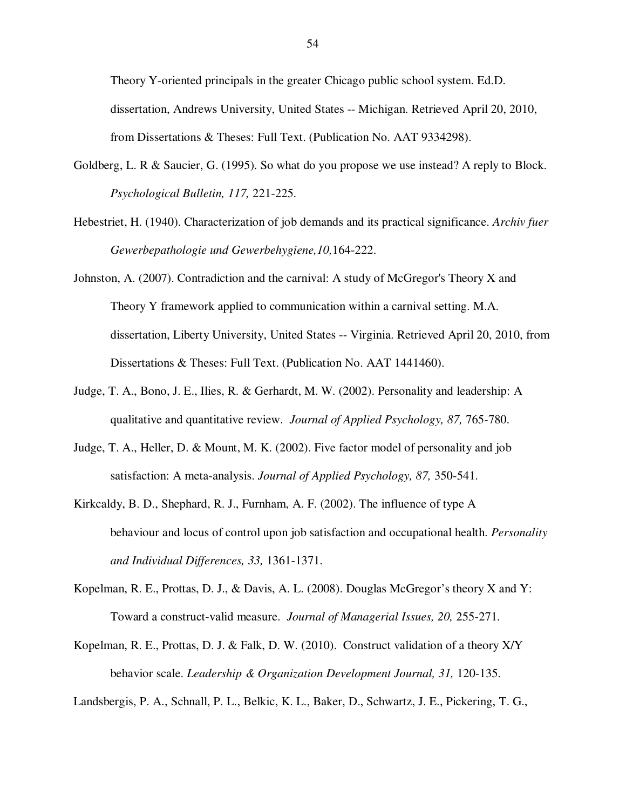Theory Y-oriented principals in the greater Chicago public school system. Ed.D. dissertation, Andrews University, United States -- Michigan. Retrieved April 20, 2010, from Dissertations & Theses: Full Text. (Publication No. AAT 9334298).

- Goldberg, L. R & Saucier, G. (1995). So what do you propose we use instead? A reply to Block. *Psychological Bulletin, 117,* 221-225.
- Hebestriet, H. (1940). Characterization of job demands and its practical significance. *Archiv fuer Gewerbepathologie und Gewerbehygiene,10,*164-222.
- Johnston, A. (2007). Contradiction and the carnival: A study of McGregor's Theory X and Theory Y framework applied to communication within a carnival setting. M.A. dissertation, Liberty University, United States -- Virginia. Retrieved April 20, 2010, from Dissertations & Theses: Full Text. (Publication No. AAT 1441460).
- Judge, T. A., Bono, J. E., Ilies, R. & Gerhardt, M. W. (2002). Personality and leadership: A qualitative and quantitative review. *Journal of Applied Psychology, 87,* 765-780.
- Judge, T. A., Heller, D. & Mount, M. K. (2002). Five factor model of personality and job satisfaction: A meta-analysis. *Journal of Applied Psychology, 87,* 350-541.
- Kirkcaldy, B. D., Shephard, R. J., Furnham, A. F. (2002). The influence of type A behaviour and locus of control upon job satisfaction and occupational health. *Personality and Individual Differences, 33,* 1361-1371.
- Kopelman, R. E., Prottas, D. J., & Davis, A. L. (2008). Douglas McGregor's theory X and Y: Toward a construct-valid measure. *Journal of Managerial Issues, 20,* 255-271.
- Kopelman, R. E., Prottas, D. J. & Falk, D. W. (2010). Construct validation of a theory X/Y behavior scale. *Leadership & Organization Development Journal, 31,* 120-135.

Landsbergis, P. A., Schnall, P. L., Belkic, K. L., Baker, D., Schwartz, J. E., Pickering, T. G.,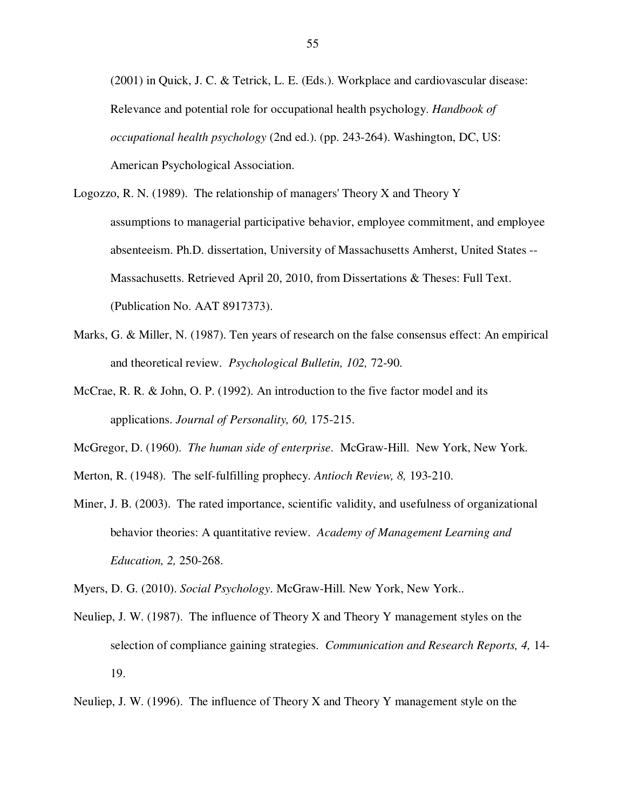(2001) in Quick, J. C. & Tetrick, L. E. (Eds.). Workplace and cardiovascular disease: Relevance and potential role for occupational health psychology. *Handbook of occupational health psychology* (2nd ed.). (pp. 243-264). Washington, DC, US: American Psychological Association.

- Logozzo, R. N. (1989). The relationship of managers' Theory X and Theory Y assumptions to managerial participative behavior, employee commitment, and employee absenteeism. Ph.D. dissertation, University of Massachusetts Amherst, United States -- Massachusetts. Retrieved April 20, 2010, from Dissertations & Theses: Full Text. (Publication No. AAT 8917373).
- Marks, G. & Miller, N. (1987). Ten years of research on the false consensus effect: An empirical and theoretical review. *Psychological Bulletin, 102,* 72-90.
- McCrae, R. R. & John, O. P. (1992). An introduction to the five factor model and its applications. *Journal of Personality, 60,* 175-215.
- McGregor, D. (1960). *The human side of enterprise*. McGraw-Hill. New York, New York.
- Merton, R. (1948). The self-fulfilling prophecy. *Antioch Review, 8,* 193-210.
- Miner, J. B. (2003). The rated importance, scientific validity, and usefulness of organizational behavior theories: A quantitative review. *Academy of Management Learning and Education, 2,* 250-268.

Myers, D. G. (2010). *Social Psychology*. McGraw-Hill. New York, New York..

- Neuliep, J. W. (1987). The influence of Theory X and Theory Y management styles on the selection of compliance gaining strategies. *Communication and Research Reports, 4,* 14- 19.
- Neuliep, J. W. (1996). The influence of Theory X and Theory Y management style on the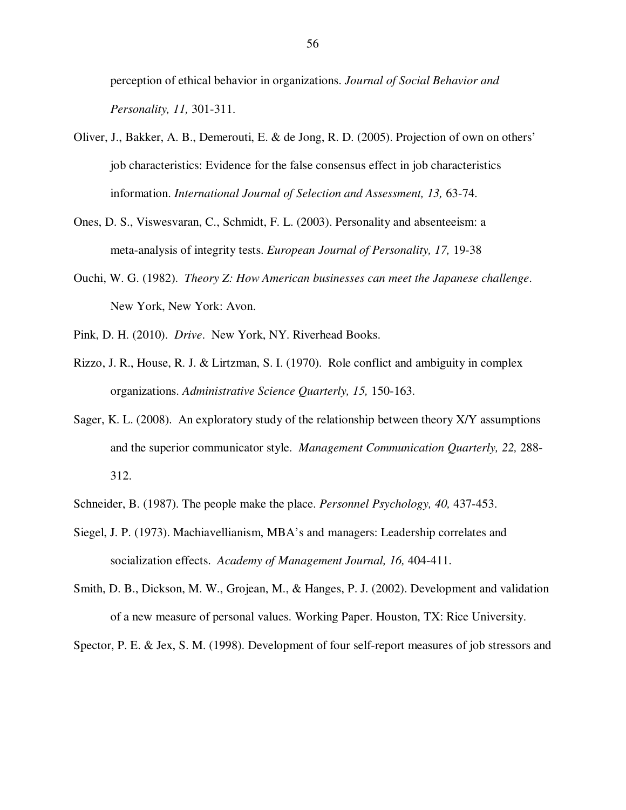perception of ethical behavior in organizations. *Journal of Social Behavior and Personality, 11,* 301-311.

- Oliver, J., Bakker, A. B., Demerouti, E. & de Jong, R. D. (2005). Projection of own on others' job characteristics: Evidence for the false consensus effect in job characteristics information. *International Journal of Selection and Assessment, 13,* 63-74.
- Ones, D. S., Viswesvaran, C., Schmidt, F. L. (2003). Personality and absenteeism: a meta-analysis of integrity tests. *European Journal of Personality, 17,* 19-38
- Ouchi, W. G. (1982). *Theory Z: How American businesses can meet the Japanese challenge*. New York, New York: Avon.
- Pink, D. H. (2010). *Drive*. New York, NY. Riverhead Books.
- Rizzo, J. R., House, R. J. & Lirtzman, S. I. (1970). Role conflict and ambiguity in complex organizations. *Administrative Science Quarterly, 15,* 150-163.
- Sager, K. L. (2008). An exploratory study of the relationship between theory X/Y assumptions and the superior communicator style. *Management Communication Quarterly, 22,* 288- 312.
- Schneider, B. (1987). The people make the place. *Personnel Psychology, 40,* 437-453.
- Siegel, J. P. (1973). Machiavellianism, MBA's and managers: Leadership correlates and socialization effects. *Academy of Management Journal, 16,* 404-411.
- Smith, D. B., Dickson, M. W., Grojean, M., & Hanges, P. J. (2002). Development and validation of a new measure of personal values. Working Paper. Houston, TX: Rice University.

Spector, P. E. & Jex, S. M. (1998). Development of four self-report measures of job stressors and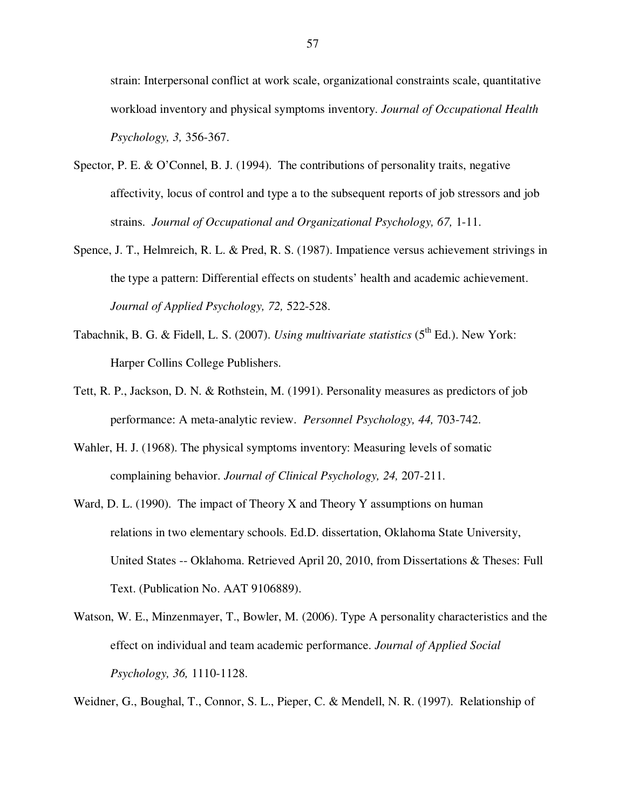strain: Interpersonal conflict at work scale, organizational constraints scale, quantitative workload inventory and physical symptoms inventory. *Journal of Occupational Health Psychology, 3,* 356-367.

- Spector, P. E. & O'Connel, B. J. (1994). The contributions of personality traits, negative affectivity, locus of control and type a to the subsequent reports of job stressors and job strains. *Journal of Occupational and Organizational Psychology, 67,* 1-11.
- Spence, J. T., Helmreich, R. L. & Pred, R. S. (1987). Impatience versus achievement strivings in the type a pattern: Differential effects on students' health and academic achievement. *Journal of Applied Psychology, 72,* 522-528.
- Tabachnik, B. G. & Fidell, L. S. (2007). *Using multivariate statistics* (5<sup>th</sup> Ed.). New York: Harper Collins College Publishers.
- Tett, R. P., Jackson, D. N. & Rothstein, M. (1991). Personality measures as predictors of job performance: A meta-analytic review. *Personnel Psychology, 44,* 703-742.
- Wahler, H. J. (1968). The physical symptoms inventory: Measuring levels of somatic complaining behavior. *Journal of Clinical Psychology, 24,* 207-211.
- Ward, D. L. (1990). The impact of Theory X and Theory Y assumptions on human relations in two elementary schools. Ed.D. dissertation, Oklahoma State University, United States -- Oklahoma. Retrieved April 20, 2010, from Dissertations & Theses: Full Text. (Publication No. AAT 9106889).
- Watson, W. E., Minzenmayer, T., Bowler, M. (2006). Type A personality characteristics and the effect on individual and team academic performance. *Journal of Applied Social Psychology, 36,* 1110-1128.

Weidner, G., Boughal, T., Connor, S. L., Pieper, C. & Mendell, N. R. (1997). Relationship of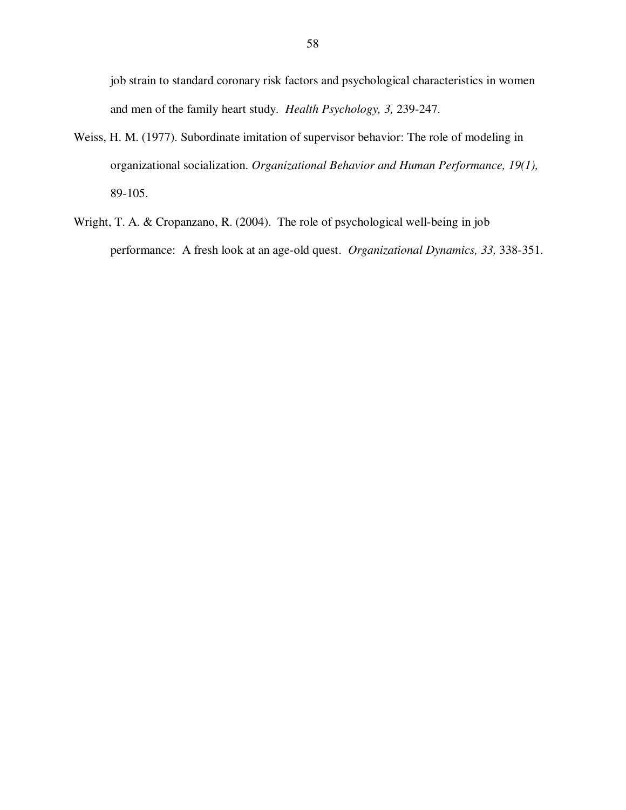job strain to standard coronary risk factors and psychological characteristics in women and men of the family heart study. *Health Psychology, 3,* 239-247.

- Weiss, H. M. (1977). Subordinate imitation of supervisor behavior: The role of modeling in organizational socialization. *Organizational Behavior and Human Performance, 19(1),* 89-105.
- Wright, T. A. & Cropanzano, R. (2004). The role of psychological well-being in job performance: A fresh look at an age-old quest. *Organizational Dynamics, 33,* 338-351.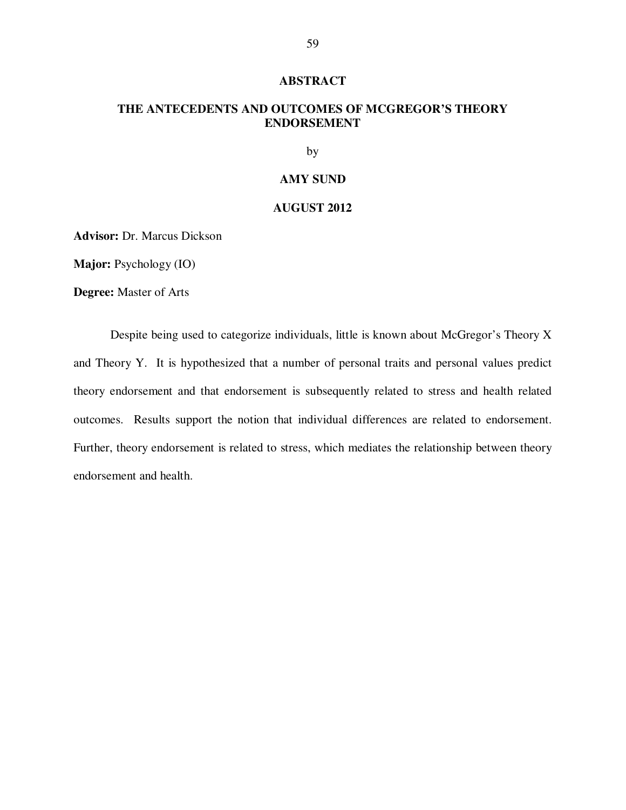#### **ABSTRACT**

## **THE ANTECEDENTS AND OUTCOMES OF MCGREGOR'S THEORY ENDORSEMENT**

by

#### **AMY SUND**

#### **AUGUST 2012**

**Advisor:** Dr. Marcus Dickson

**Major:** Psychology (IO)

**Degree:** Master of Arts

Despite being used to categorize individuals, little is known about McGregor's Theory X and Theory Y. It is hypothesized that a number of personal traits and personal values predict theory endorsement and that endorsement is subsequently related to stress and health related outcomes. Results support the notion that individual differences are related to endorsement. Further, theory endorsement is related to stress, which mediates the relationship between theory endorsement and health.